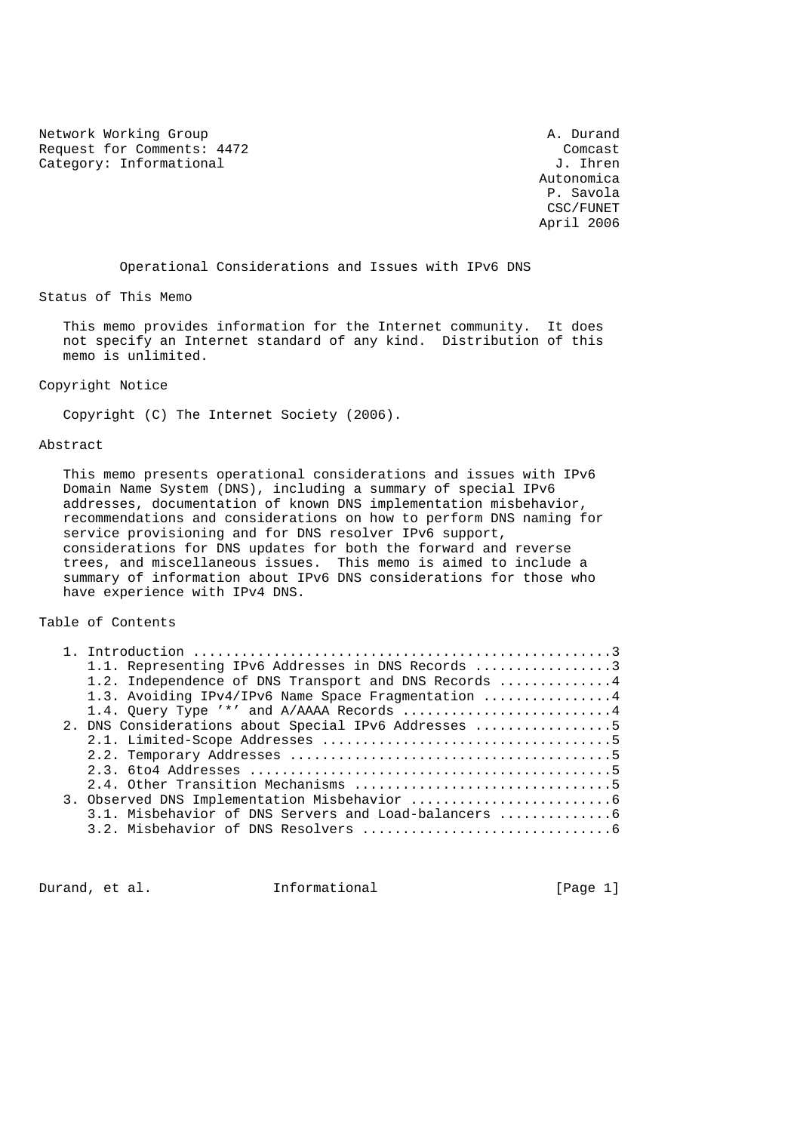Network Working Group and the set of the Marian Channel A. Durand Request for Comments: 4472 Comcast<br>Category: Informational discussed by the compact of the compact of the compact of the compact of the compact of the compact of the compact of the compact of the compact of the compact of Category: Informational

 Autonomica P. Savola CSC/FUNET April 2006

Operational Considerations and Issues with IPv6 DNS

Status of This Memo

 This memo provides information for the Internet community. It does not specify an Internet standard of any kind. Distribution of this memo is unlimited.

Copyright Notice

Copyright (C) The Internet Society (2006).

Abstract

 This memo presents operational considerations and issues with IPv6 Domain Name System (DNS), including a summary of special IPv6 addresses, documentation of known DNS implementation misbehavior, recommendations and considerations on how to perform DNS naming for service provisioning and for DNS resolver IPv6 support, considerations for DNS updates for both the forward and reverse trees, and miscellaneous issues. This memo is aimed to include a summary of information about IPv6 DNS considerations for those who have experience with IPv4 DNS.

Table of Contents

|  | 1.1. Representing IPv6 Addresses in DNS Records 3                          |  |
|--|----------------------------------------------------------------------------|--|
|  | 1.2. Independence of DNS Transport and DNS Records $\dots\dots\dots\dots4$ |  |
|  | 1.3. Avoiding IPv4/IPv6 Name Space Fragmentation 4                         |  |
|  | 1.4. Query Type '*' and A/AAAA Records 4                                   |  |
|  | 2. DNS Considerations about Special IPv6 Addresses 5                       |  |
|  |                                                                            |  |
|  |                                                                            |  |
|  |                                                                            |  |
|  |                                                                            |  |
|  |                                                                            |  |
|  |                                                                            |  |
|  |                                                                            |  |
|  |                                                                            |  |

Durand, et al. 1nformational 1999 [Page 1]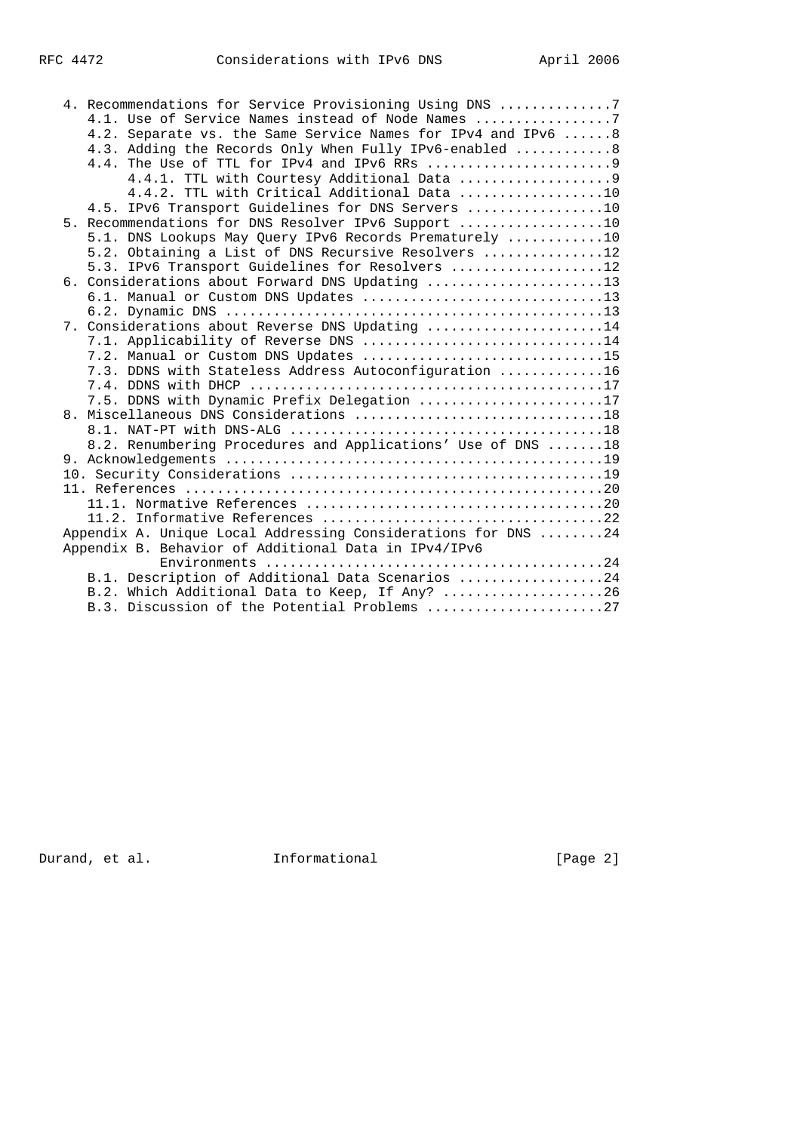|  | 4. Recommendations for Service Provisioning Using DNS 7       |
|--|---------------------------------------------------------------|
|  | 4.1. Use of Service Names instead of Node Names 7             |
|  | 4.2. Separate vs. the Same Service Names for IPv4 and IPv6 8  |
|  | 4.3. Adding the Records Only When Fully IPv6-enabled 8        |
|  |                                                               |
|  |                                                               |
|  | 4.4.2. TTL with Critical Additional Data 10                   |
|  | 4.5. IPv6 Transport Guidelines for DNS Servers 10             |
|  | 5. Recommendations for DNS Resolver IPv6 Support 10           |
|  | 5.1. DNS Lookups May Query IPv6 Records Prematurely 10        |
|  | 5.2. Obtaining a List of DNS Recursive Resolvers 12           |
|  | 5.3. IPv6 Transport Guidelines for Resolvers 12               |
|  | 6. Considerations about Forward DNS Updating 13               |
|  | 6.1. Manual or Custom DNS Updates 13                          |
|  |                                                               |
|  | 7. Considerations about Reverse DNS Updating 14               |
|  | 7.1. Applicability of Reverse DNS 14                          |
|  | 7.2. Manual or Custom DNS Updates 15                          |
|  | 7.3. DDNS with Stateless Address Autoconfiguration 16         |
|  |                                                               |
|  | 7.5. DDNS with Dynamic Prefix Delegation 17                   |
|  | 8. Miscellaneous DNS Considerations 18                        |
|  |                                                               |
|  | 8.2. Renumbering Procedures and Applications' Use of DNS 18   |
|  |                                                               |
|  |                                                               |
|  |                                                               |
|  |                                                               |
|  |                                                               |
|  | Appendix A. Unique Local Addressing Considerations for DNS 24 |
|  | Appendix B. Behavior of Additional Data in IPv4/IPv6          |
|  |                                                               |
|  | B.1. Description of Additional Data Scenarios 24              |
|  | B.2. Which Additional Data to Keep, If Any? 26                |
|  | B.3. Discussion of the Potential Problems 27                  |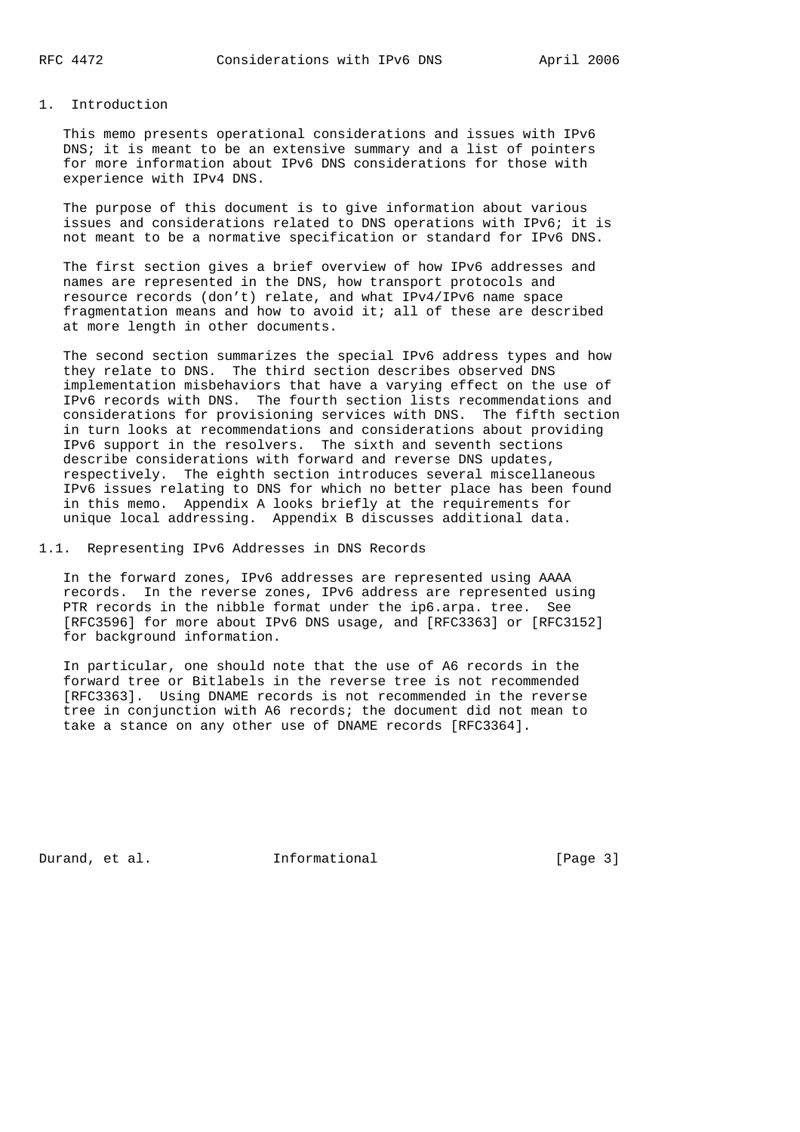# 1. Introduction

 This memo presents operational considerations and issues with IPv6 DNS; it is meant to be an extensive summary and a list of pointers for more information about IPv6 DNS considerations for those with experience with IPv4 DNS.

 The purpose of this document is to give information about various issues and considerations related to DNS operations with IPv6; it is not meant to be a normative specification or standard for IPv6 DNS.

 The first section gives a brief overview of how IPv6 addresses and names are represented in the DNS, how transport protocols and resource records (don't) relate, and what IPv4/IPv6 name space fragmentation means and how to avoid it; all of these are described at more length in other documents.

 The second section summarizes the special IPv6 address types and how they relate to DNS. The third section describes observed DNS implementation misbehaviors that have a varying effect on the use of IPv6 records with DNS. The fourth section lists recommendations and considerations for provisioning services with DNS. The fifth section in turn looks at recommendations and considerations about providing IPv6 support in the resolvers. The sixth and seventh sections describe considerations with forward and reverse DNS updates, respectively. The eighth section introduces several miscellaneous IPv6 issues relating to DNS for which no better place has been found in this memo. Appendix A looks briefly at the requirements for unique local addressing. Appendix B discusses additional data.

1.1. Representing IPv6 Addresses in DNS Records

 In the forward zones, IPv6 addresses are represented using AAAA records. In the reverse zones, IPv6 address are represented using PTR records in the nibble format under the ip6.arpa. tree. See [RFC3596] for more about IPv6 DNS usage, and [RFC3363] or [RFC3152] for background information.

 In particular, one should note that the use of A6 records in the forward tree or Bitlabels in the reverse tree is not recommended [RFC3363]. Using DNAME records is not recommended in the reverse tree in conjunction with A6 records; the document did not mean to take a stance on any other use of DNAME records [RFC3364].

Durand, et al. 1nformational 1999 [Page 3]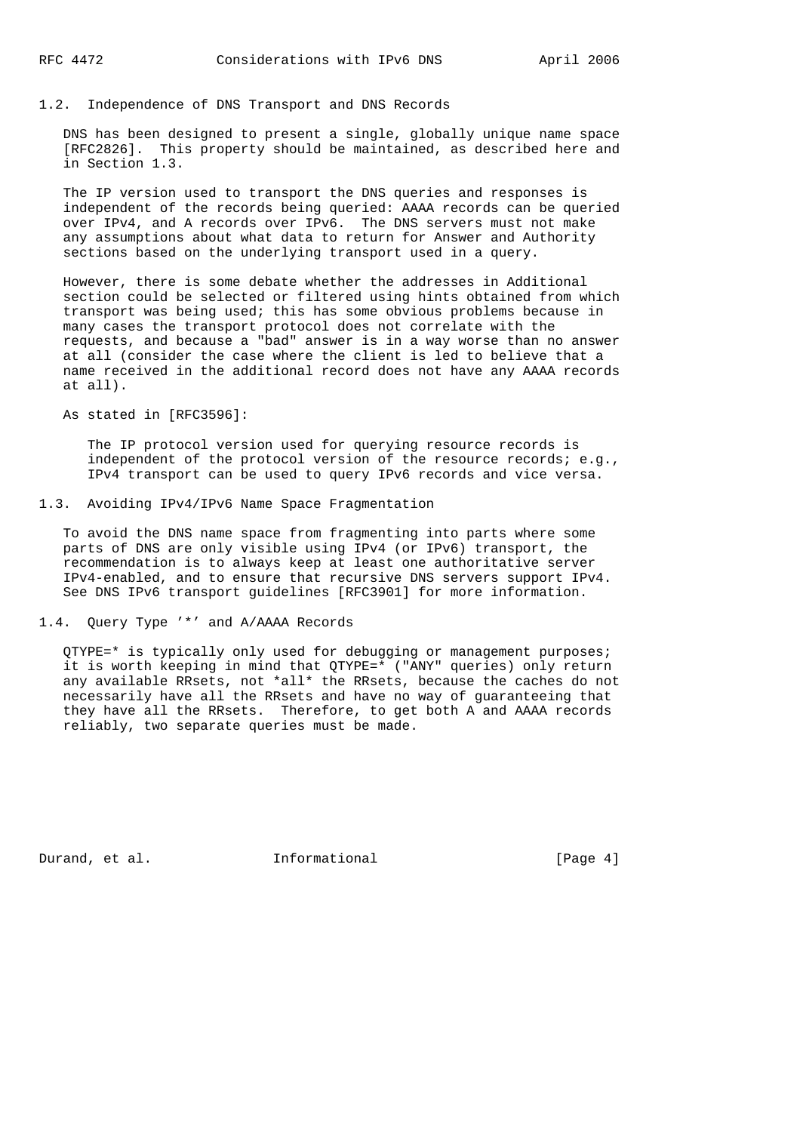### 1.2. Independence of DNS Transport and DNS Records

 DNS has been designed to present a single, globally unique name space [RFC2826]. This property should be maintained, as described here and in Section 1.3.

 The IP version used to transport the DNS queries and responses is independent of the records being queried: AAAA records can be queried over IPv4, and A records over IPv6. The DNS servers must not make any assumptions about what data to return for Answer and Authority sections based on the underlying transport used in a query.

 However, there is some debate whether the addresses in Additional section could be selected or filtered using hints obtained from which transport was being used; this has some obvious problems because in many cases the transport protocol does not correlate with the requests, and because a "bad" answer is in a way worse than no answer at all (consider the case where the client is led to believe that a name received in the additional record does not have any AAAA records at all).

As stated in [RFC3596]:

 The IP protocol version used for querying resource records is independent of the protocol version of the resource records; e.g., IPv4 transport can be used to query IPv6 records and vice versa.

1.3. Avoiding IPv4/IPv6 Name Space Fragmentation

 To avoid the DNS name space from fragmenting into parts where some parts of DNS are only visible using IPv4 (or IPv6) transport, the recommendation is to always keep at least one authoritative server IPv4-enabled, and to ensure that recursive DNS servers support IPv4. See DNS IPv6 transport guidelines [RFC3901] for more information.

1.4. Query Type '\*' and A/AAAA Records

 QTYPE=\* is typically only used for debugging or management purposes; it is worth keeping in mind that QTYPE=\* ("ANY" queries) only return any available RRsets, not \*all\* the RRsets, because the caches do not necessarily have all the RRsets and have no way of guaranteeing that they have all the RRsets. Therefore, to get both A and AAAA records reliably, two separate queries must be made.

Durand, et al. 1nformational 1998 [Page 4]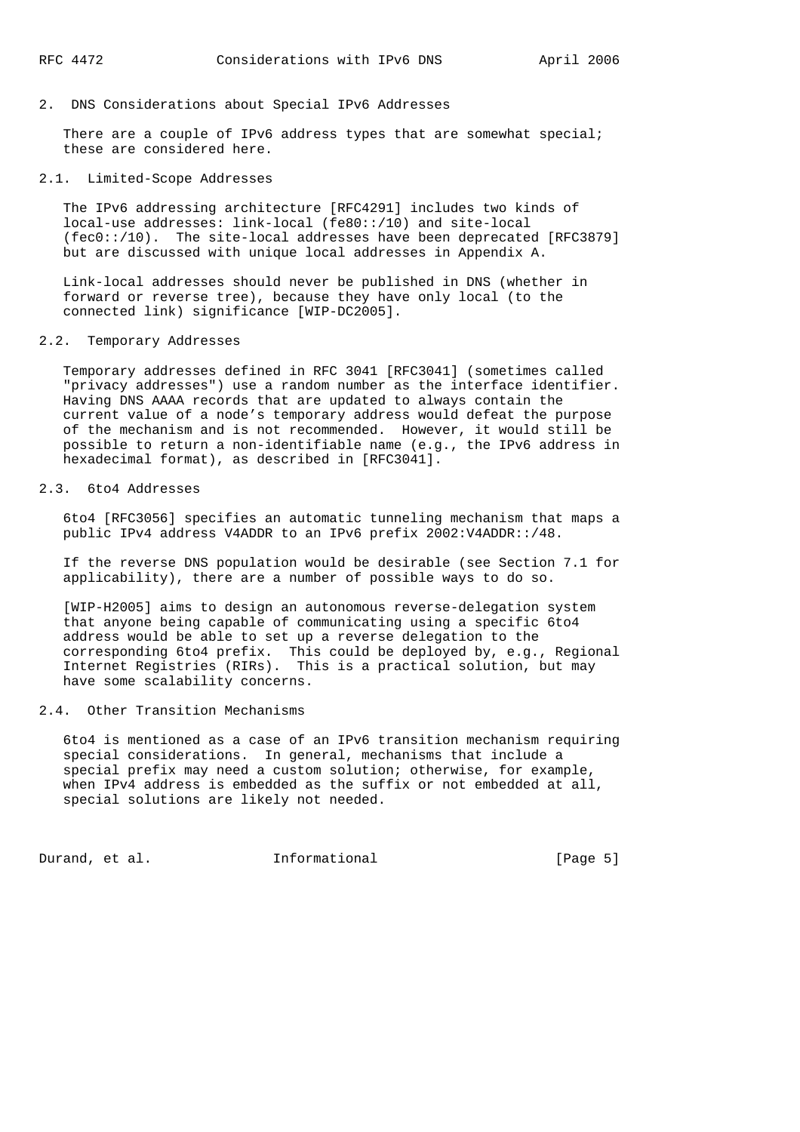#### 2. DNS Considerations about Special IPv6 Addresses

There are a couple of IPv6 address types that are somewhat special; these are considered here.

## 2.1. Limited-Scope Addresses

 The IPv6 addressing architecture [RFC4291] includes two kinds of local-use addresses: link-local (fe80::/10) and site-local (fec0::/10). The site-local addresses have been deprecated [RFC3879] but are discussed with unique local addresses in Appendix A.

 Link-local addresses should never be published in DNS (whether in forward or reverse tree), because they have only local (to the connected link) significance [WIP-DC2005].

### 2.2. Temporary Addresses

 Temporary addresses defined in RFC 3041 [RFC3041] (sometimes called "privacy addresses") use a random number as the interface identifier. Having DNS AAAA records that are updated to always contain the current value of a node's temporary address would defeat the purpose of the mechanism and is not recommended. However, it would still be possible to return a non-identifiable name (e.g., the IPv6 address in hexadecimal format), as described in [RFC3041].

# 2.3. 6to4 Addresses

 6to4 [RFC3056] specifies an automatic tunneling mechanism that maps a public IPv4 address V4ADDR to an IPv6 prefix 2002:V4ADDR::/48.

 If the reverse DNS population would be desirable (see Section 7.1 for applicability), there are a number of possible ways to do so.

 [WIP-H2005] aims to design an autonomous reverse-delegation system that anyone being capable of communicating using a specific 6to4 address would be able to set up a reverse delegation to the corresponding 6to4 prefix. This could be deployed by, e.g., Regional Internet Registries (RIRs). This is a practical solution, but may have some scalability concerns.

# 2.4. Other Transition Mechanisms

 6to4 is mentioned as a case of an IPv6 transition mechanism requiring special considerations. In general, mechanisms that include a special prefix may need a custom solution; otherwise, for example, when IPv4 address is embedded as the suffix or not embedded at all, special solutions are likely not needed.

Durand, et al. 1nformational 1999 [Page 5]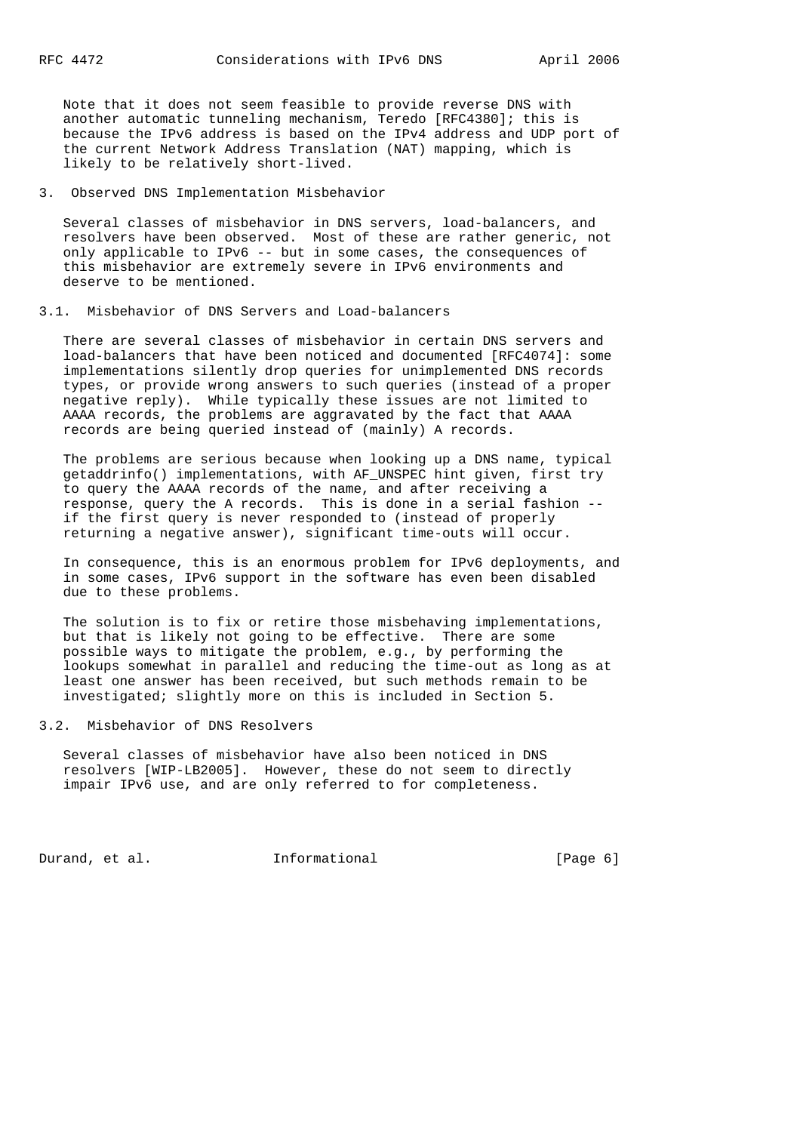Note that it does not seem feasible to provide reverse DNS with another automatic tunneling mechanism, Teredo [RFC4380]; this is because the IPv6 address is based on the IPv4 address and UDP port of the current Network Address Translation (NAT) mapping, which is likely to be relatively short-lived.

3. Observed DNS Implementation Misbehavior

 Several classes of misbehavior in DNS servers, load-balancers, and resolvers have been observed. Most of these are rather generic, not only applicable to IPv6 -- but in some cases, the consequences of this misbehavior are extremely severe in IPv6 environments and deserve to be mentioned.

# 3.1. Misbehavior of DNS Servers and Load-balancers

 There are several classes of misbehavior in certain DNS servers and load-balancers that have been noticed and documented [RFC4074]: some implementations silently drop queries for unimplemented DNS records types, or provide wrong answers to such queries (instead of a proper negative reply). While typically these issues are not limited to AAAA records, the problems are aggravated by the fact that AAAA records are being queried instead of (mainly) A records.

 The problems are serious because when looking up a DNS name, typical getaddrinfo() implementations, with AF\_UNSPEC hint given, first try to query the AAAA records of the name, and after receiving a response, query the A records. This is done in a serial fashion - if the first query is never responded to (instead of properly returning a negative answer), significant time-outs will occur.

 In consequence, this is an enormous problem for IPv6 deployments, and in some cases, IPv6 support in the software has even been disabled due to these problems.

 The solution is to fix or retire those misbehaving implementations, but that is likely not going to be effective. There are some possible ways to mitigate the problem, e.g., by performing the lookups somewhat in parallel and reducing the time-out as long as at least one answer has been received, but such methods remain to be investigated; slightly more on this is included in Section 5.

#### 3.2. Misbehavior of DNS Resolvers

 Several classes of misbehavior have also been noticed in DNS resolvers [WIP-LB2005]. However, these do not seem to directly impair IPv6 use, and are only referred to for completeness.

Durand, et al. 1nformational [Page 6]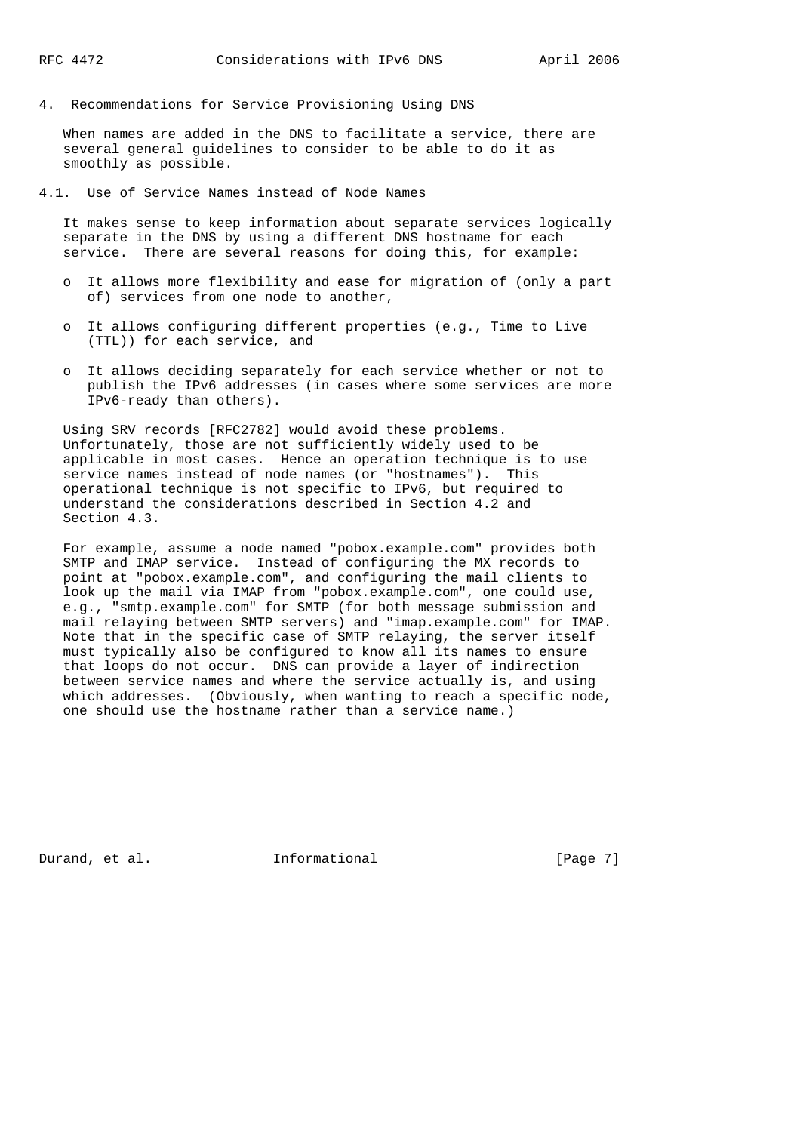4. Recommendations for Service Provisioning Using DNS

 When names are added in the DNS to facilitate a service, there are several general guidelines to consider to be able to do it as smoothly as possible.

4.1. Use of Service Names instead of Node Names

 It makes sense to keep information about separate services logically separate in the DNS by using a different DNS hostname for each service. There are several reasons for doing this, for example:

- o It allows more flexibility and ease for migration of (only a part of) services from one node to another,
- o It allows configuring different properties (e.g., Time to Live (TTL)) for each service, and
- o It allows deciding separately for each service whether or not to publish the IPv6 addresses (in cases where some services are more IPv6-ready than others).

 Using SRV records [RFC2782] would avoid these problems. Unfortunately, those are not sufficiently widely used to be applicable in most cases. Hence an operation technique is to use service names instead of node names (or "hostnames"). This operational technique is not specific to IPv6, but required to understand the considerations described in Section 4.2 and Section 4.3.

 For example, assume a node named "pobox.example.com" provides both SMTP and IMAP service. Instead of configuring the MX records to point at "pobox.example.com", and configuring the mail clients to look up the mail via IMAP from "pobox.example.com", one could use, e.g., "smtp.example.com" for SMTP (for both message submission and mail relaying between SMTP servers) and "imap.example.com" for IMAP. Note that in the specific case of SMTP relaying, the server itself must typically also be configured to know all its names to ensure that loops do not occur. DNS can provide a layer of indirection between service names and where the service actually is, and using which addresses. (Obviously, when wanting to reach a specific node, one should use the hostname rather than a service name.)

Durand, et al. 1nformational 1999 [Page 7]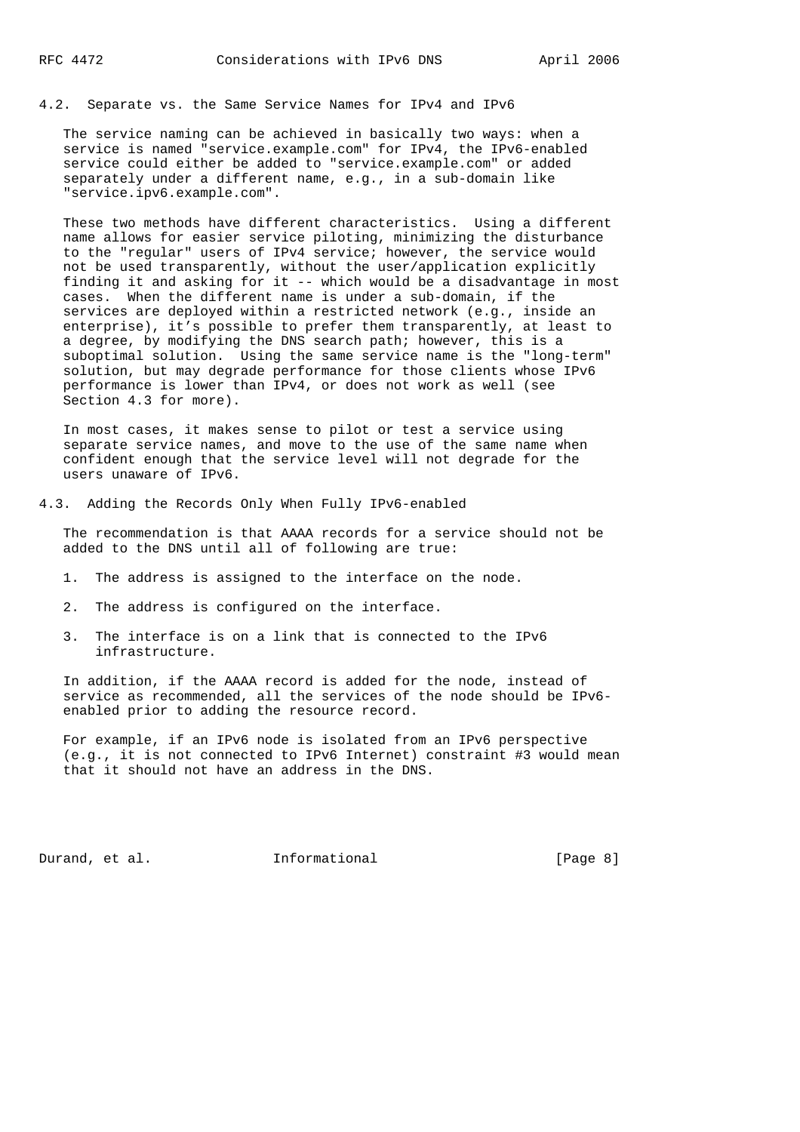4.2. Separate vs. the Same Service Names for IPv4 and IPv6

 The service naming can be achieved in basically two ways: when a service is named "service.example.com" for IPv4, the IPv6-enabled service could either be added to "service.example.com" or added separately under a different name, e.g., in a sub-domain like "service.ipv6.example.com".

 These two methods have different characteristics. Using a different name allows for easier service piloting, minimizing the disturbance to the "regular" users of IPv4 service; however, the service would not be used transparently, without the user/application explicitly finding it and asking for it -- which would be a disadvantage in most cases. When the different name is under a sub-domain, if the services are deployed within a restricted network (e.g., inside an enterprise), it's possible to prefer them transparently, at least to a degree, by modifying the DNS search path; however, this is a suboptimal solution. Using the same service name is the "long-term" solution, but may degrade performance for those clients whose IPv6 performance is lower than IPv4, or does not work as well (see Section 4.3 for more).

 In most cases, it makes sense to pilot or test a service using separate service names, and move to the use of the same name when confident enough that the service level will not degrade for the users unaware of IPv6.

4.3. Adding the Records Only When Fully IPv6-enabled

 The recommendation is that AAAA records for a service should not be added to the DNS until all of following are true:

- 1. The address is assigned to the interface on the node.
- 2. The address is configured on the interface.
- 3. The interface is on a link that is connected to the IPv6 infrastructure.

 In addition, if the AAAA record is added for the node, instead of service as recommended, all the services of the node should be IPv6 enabled prior to adding the resource record.

 For example, if an IPv6 node is isolated from an IPv6 perspective (e.g., it is not connected to IPv6 Internet) constraint #3 would mean that it should not have an address in the DNS.

Durand, et al. 1nformational 1999 [Page 8]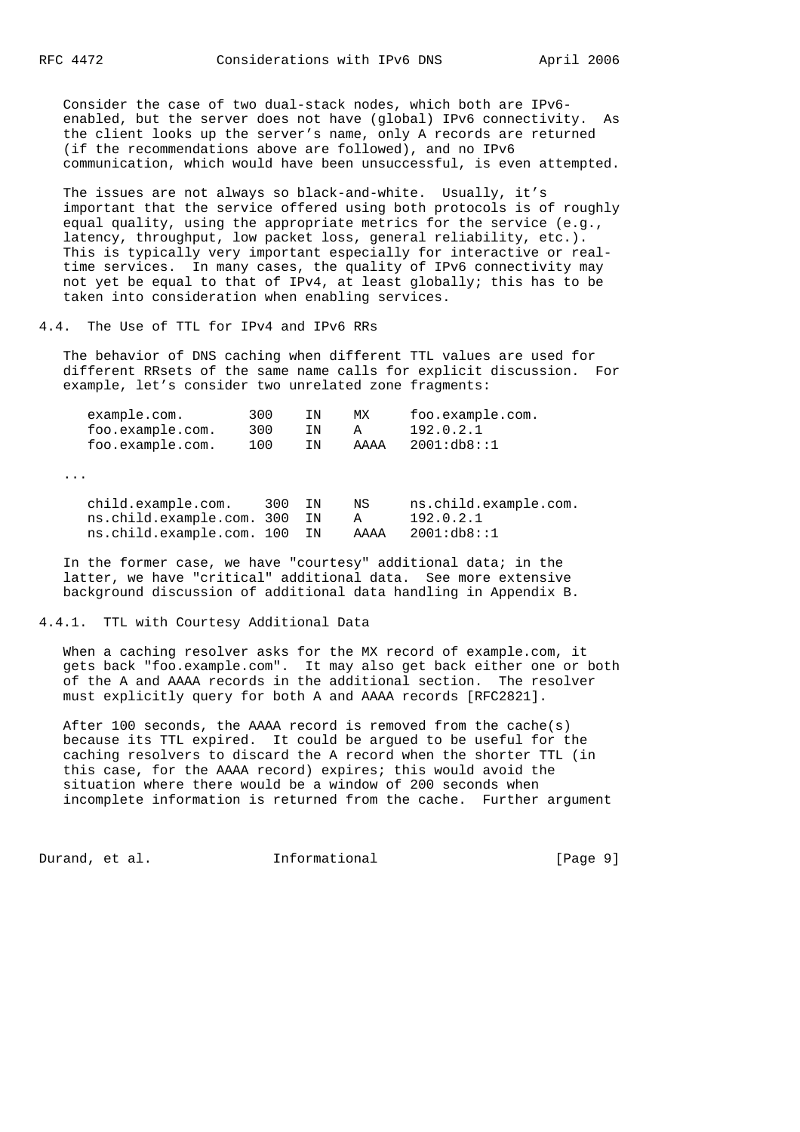Consider the case of two dual-stack nodes, which both are IPv6 enabled, but the server does not have (global) IPv6 connectivity. As the client looks up the server's name, only A records are returned (if the recommendations above are followed), and no IPv6 communication, which would have been unsuccessful, is even attempted.

 The issues are not always so black-and-white. Usually, it's important that the service offered using both protocols is of roughly equal quality, using the appropriate metrics for the service (e.g., latency, throughput, low packet loss, general reliability, etc.). This is typically very important especially for interactive or real time services. In many cases, the quality of IPv6 connectivity may not yet be equal to that of IPv4, at least globally; this has to be taken into consideration when enabling services.

4.4. The Use of TTL for IPv4 and IPv6 RRs

 The behavior of DNS caching when different TTL values are used for different RRsets of the same name calls for explicit discussion. For example, let's consider two unrelated zone fragments:

| example.com.<br>foo.example.com.<br>foo.example.com. | 300<br>300<br>100 | ΙN<br>ΙN<br>ΙN | МX<br>Α<br>AAAA | foo.example.com.<br>192.0.2.1<br>2001:db8:1 |
|------------------------------------------------------|-------------------|----------------|-----------------|---------------------------------------------|
| $\cdots$                                             |                   |                |                 |                                             |
| child.example.com.                                   | 300               | ΙN             | ΝS              | ns.child.example.com.                       |
| ns.child.example.com.                                | 300               | ΙN             | Α               | 192.0.2.1                                   |
| ns.child.example.com.                                | 100               | ΙN             | AAAA            | 2001:db8::1                                 |

 In the former case, we have "courtesy" additional data; in the latter, we have "critical" additional data. See more extensive background discussion of additional data handling in Appendix B.

#### 4.4.1. TTL with Courtesy Additional Data

 When a caching resolver asks for the MX record of example.com, it gets back "foo.example.com". It may also get back either one or both of the A and AAAA records in the additional section. The resolver must explicitly query for both A and AAAA records [RFC2821].

 After 100 seconds, the AAAA record is removed from the cache(s) because its TTL expired. It could be argued to be useful for the caching resolvers to discard the A record when the shorter TTL (in this case, for the AAAA record) expires; this would avoid the situation where there would be a window of 200 seconds when incomplete information is returned from the cache. Further argument

Durand, et al. 1nformational 1999 [Page 9]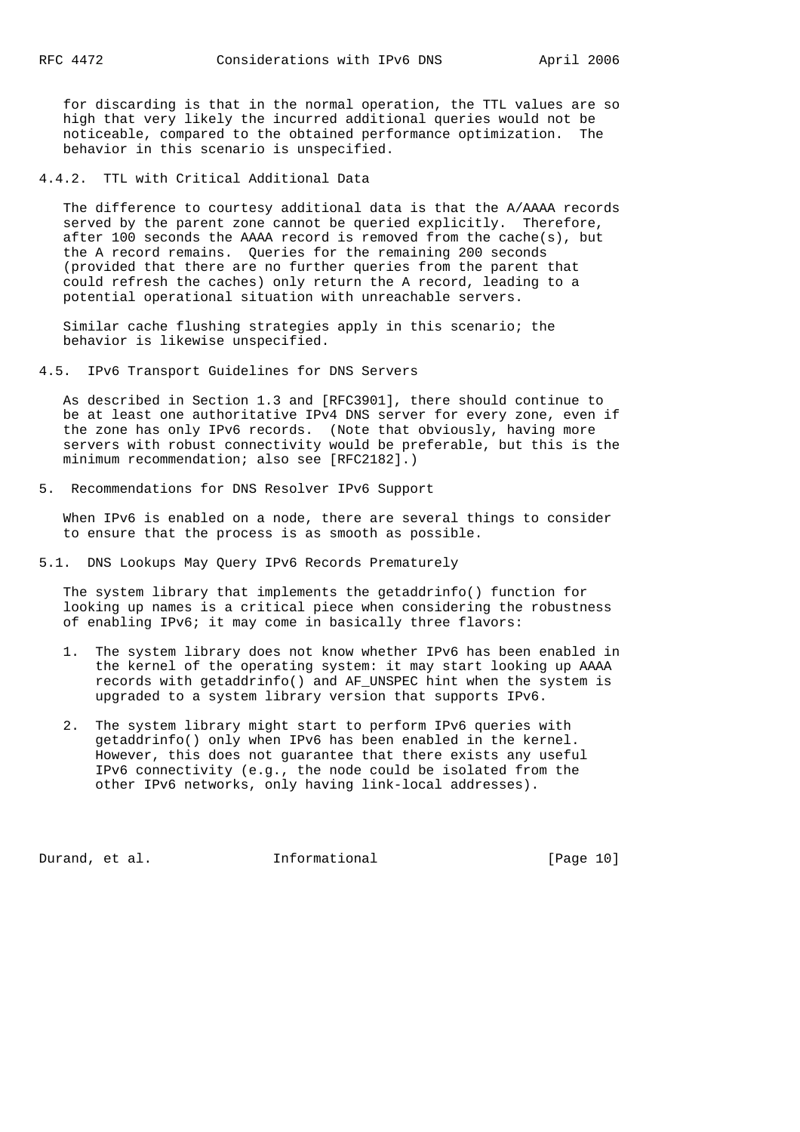for discarding is that in the normal operation, the TTL values are so high that very likely the incurred additional queries would not be noticeable, compared to the obtained performance optimization. The behavior in this scenario is unspecified.

4.4.2. TTL with Critical Additional Data

 The difference to courtesy additional data is that the A/AAAA records served by the parent zone cannot be queried explicitly. Therefore, after 100 seconds the AAAA record is removed from the cache(s), but the A record remains. Queries for the remaining 200 seconds (provided that there are no further queries from the parent that could refresh the caches) only return the A record, leading to a potential operational situation with unreachable servers.

 Similar cache flushing strategies apply in this scenario; the behavior is likewise unspecified.

4.5. IPv6 Transport Guidelines for DNS Servers

 As described in Section 1.3 and [RFC3901], there should continue to be at least one authoritative IPv4 DNS server for every zone, even if the zone has only IPv6 records. (Note that obviously, having more servers with robust connectivity would be preferable, but this is the minimum recommendation; also see [RFC2182].)

5. Recommendations for DNS Resolver IPv6 Support

 When IPv6 is enabled on a node, there are several things to consider to ensure that the process is as smooth as possible.

5.1. DNS Lookups May Query IPv6 Records Prematurely

 The system library that implements the getaddrinfo() function for looking up names is a critical piece when considering the robustness of enabling IPv6; it may come in basically three flavors:

- 1. The system library does not know whether IPv6 has been enabled in the kernel of the operating system: it may start looking up AAAA records with getaddrinfo() and AF\_UNSPEC hint when the system is upgraded to a system library version that supports IPv6.
- 2. The system library might start to perform IPv6 queries with getaddrinfo() only when IPv6 has been enabled in the kernel. However, this does not guarantee that there exists any useful IPv6 connectivity (e.g., the node could be isolated from the other IPv6 networks, only having link-local addresses).

Durand, et al. 1nformational [Page 10]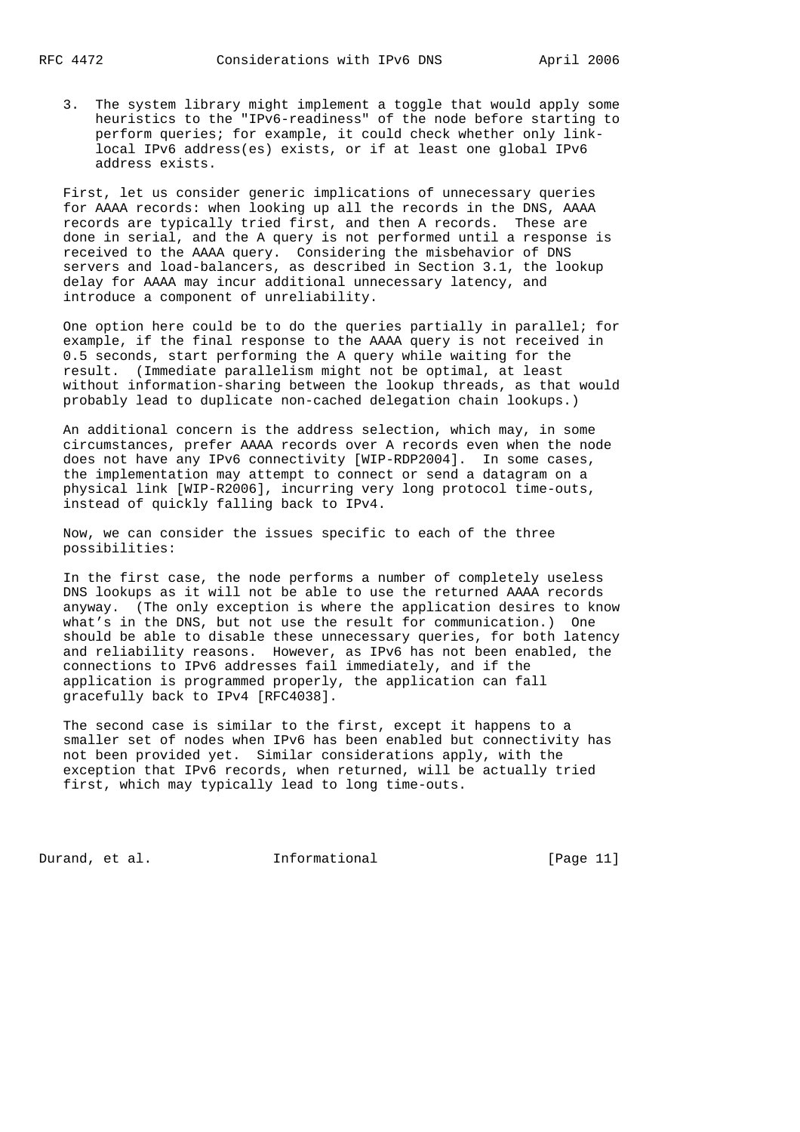3. The system library might implement a toggle that would apply some heuristics to the "IPv6-readiness" of the node before starting to perform queries; for example, it could check whether only link local IPv6 address(es) exists, or if at least one global IPv6 address exists.

 First, let us consider generic implications of unnecessary queries for AAAA records: when looking up all the records in the DNS, AAAA records are typically tried first, and then A records. These are done in serial, and the A query is not performed until a response is received to the AAAA query. Considering the misbehavior of DNS servers and load-balancers, as described in Section 3.1, the lookup delay for AAAA may incur additional unnecessary latency, and introduce a component of unreliability.

 One option here could be to do the queries partially in parallel; for example, if the final response to the AAAA query is not received in 0.5 seconds, start performing the A query while waiting for the result. (Immediate parallelism might not be optimal, at least without information-sharing between the lookup threads, as that would probably lead to duplicate non-cached delegation chain lookups.)

 An additional concern is the address selection, which may, in some circumstances, prefer AAAA records over A records even when the node does not have any IPv6 connectivity [WIP-RDP2004]. In some cases, the implementation may attempt to connect or send a datagram on a physical link [WIP-R2006], incurring very long protocol time-outs, instead of quickly falling back to IPv4.

 Now, we can consider the issues specific to each of the three possibilities:

 In the first case, the node performs a number of completely useless DNS lookups as it will not be able to use the returned AAAA records anyway. (The only exception is where the application desires to know what's in the DNS, but not use the result for communication.) One should be able to disable these unnecessary queries, for both latency and reliability reasons. However, as IPv6 has not been enabled, the connections to IPv6 addresses fail immediately, and if the application is programmed properly, the application can fall gracefully back to IPv4 [RFC4038].

 The second case is similar to the first, except it happens to a smaller set of nodes when IPv6 has been enabled but connectivity has not been provided yet. Similar considerations apply, with the exception that IPv6 records, when returned, will be actually tried first, which may typically lead to long time-outs.

Durand, et al. 1nformational [Page 11]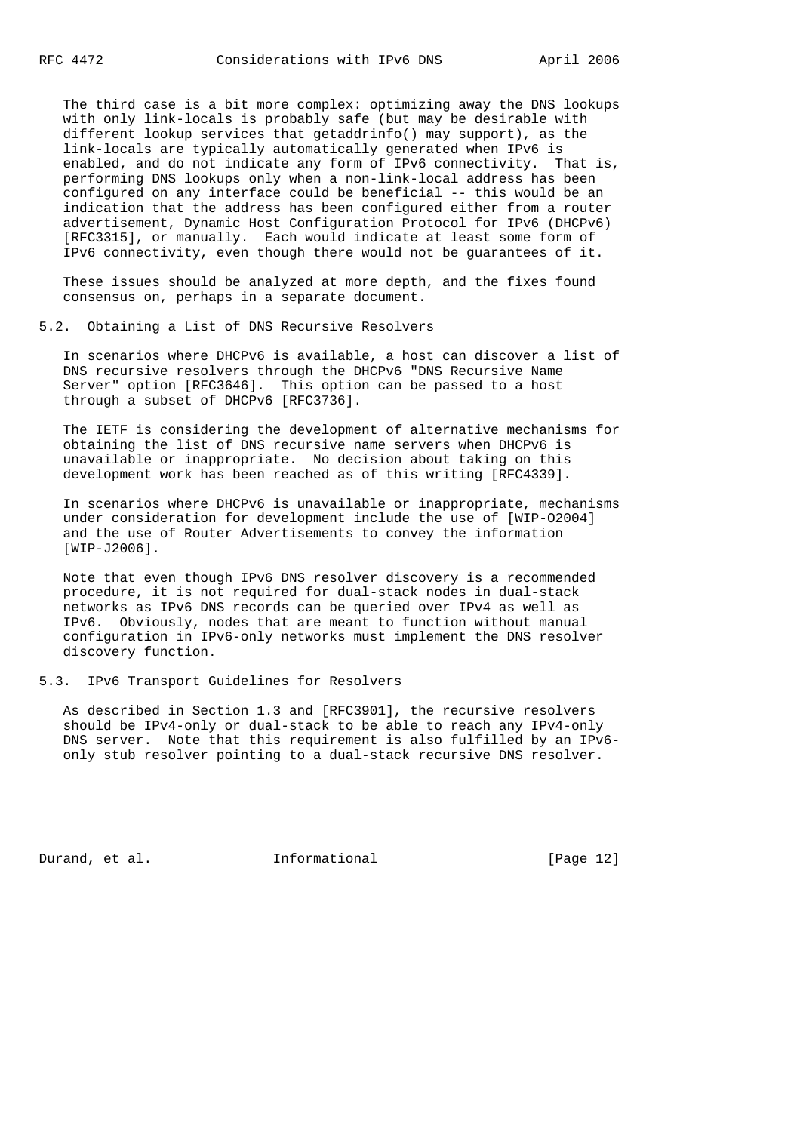The third case is a bit more complex: optimizing away the DNS lookups with only link-locals is probably safe (but may be desirable with different lookup services that getaddrinfo() may support), as the link-locals are typically automatically generated when IPv6 is enabled, and do not indicate any form of IPv6 connectivity. That is, performing DNS lookups only when a non-link-local address has been configured on any interface could be beneficial -- this would be an indication that the address has been configured either from a router advertisement, Dynamic Host Configuration Protocol for IPv6 (DHCPv6) [RFC3315], or manually. Each would indicate at least some form of IPv6 connectivity, even though there would not be guarantees of it.

 These issues should be analyzed at more depth, and the fixes found consensus on, perhaps in a separate document.

#### 5.2. Obtaining a List of DNS Recursive Resolvers

 In scenarios where DHCPv6 is available, a host can discover a list of DNS recursive resolvers through the DHCPv6 "DNS Recursive Name Server" option [RFC3646]. This option can be passed to a host through a subset of DHCPv6 [RFC3736].

 The IETF is considering the development of alternative mechanisms for obtaining the list of DNS recursive name servers when DHCPv6 is unavailable or inappropriate. No decision about taking on this development work has been reached as of this writing [RFC4339].

 In scenarios where DHCPv6 is unavailable or inappropriate, mechanisms under consideration for development include the use of [WIP-O2004] and the use of Router Advertisements to convey the information [WIP-J2006].

 Note that even though IPv6 DNS resolver discovery is a recommended procedure, it is not required for dual-stack nodes in dual-stack networks as IPv6 DNS records can be queried over IPv4 as well as IPv6. Obviously, nodes that are meant to function without manual configuration in IPv6-only networks must implement the DNS resolver discovery function.

#### 5.3. IPv6 Transport Guidelines for Resolvers

 As described in Section 1.3 and [RFC3901], the recursive resolvers should be IPv4-only or dual-stack to be able to reach any IPv4-only DNS server. Note that this requirement is also fulfilled by an IPv6 only stub resolver pointing to a dual-stack recursive DNS resolver.

Durand, et al. 1nformational [Page 12]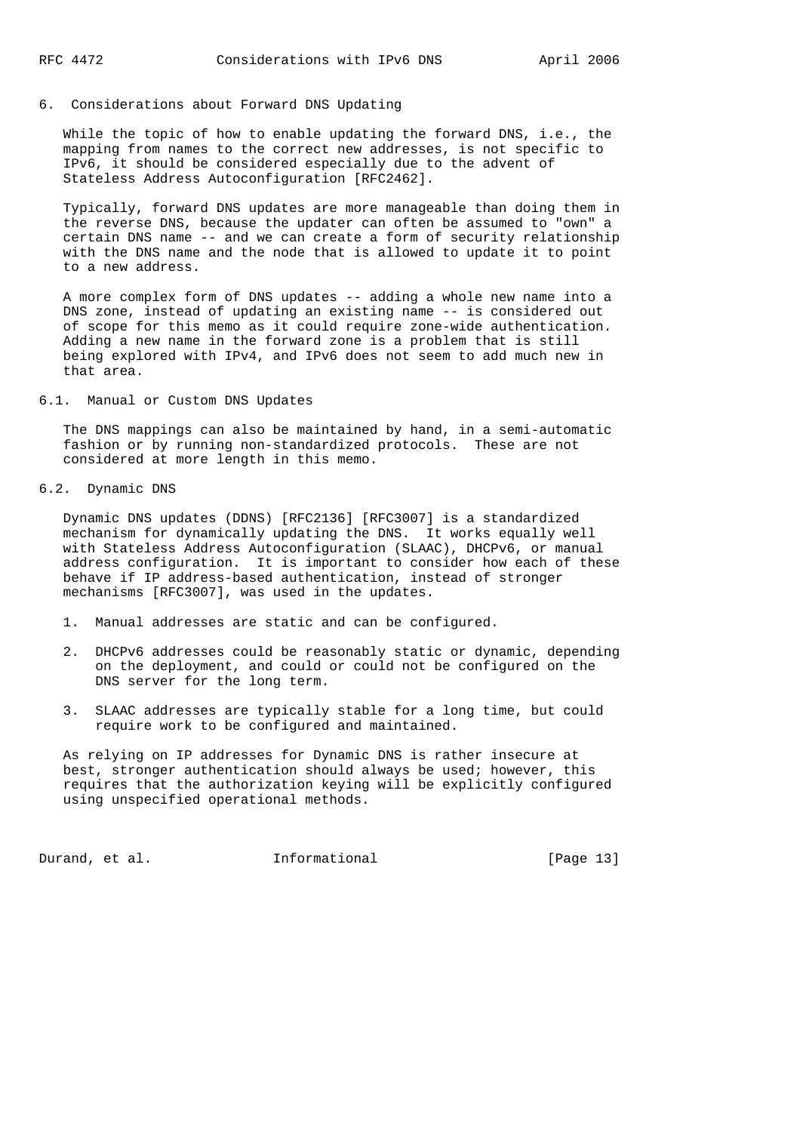#### 6. Considerations about Forward DNS Updating

 While the topic of how to enable updating the forward DNS, i.e., the mapping from names to the correct new addresses, is not specific to IPv6, it should be considered especially due to the advent of Stateless Address Autoconfiguration [RFC2462].

 Typically, forward DNS updates are more manageable than doing them in the reverse DNS, because the updater can often be assumed to "own" a certain DNS name -- and we can create a form of security relationship with the DNS name and the node that is allowed to update it to point to a new address.

 A more complex form of DNS updates -- adding a whole new name into a DNS zone, instead of updating an existing name -- is considered out of scope for this memo as it could require zone-wide authentication. Adding a new name in the forward zone is a problem that is still being explored with IPv4, and IPv6 does not seem to add much new in that area.

### 6.1. Manual or Custom DNS Updates

 The DNS mappings can also be maintained by hand, in a semi-automatic fashion or by running non-standardized protocols. These are not considered at more length in this memo.

# 6.2. Dynamic DNS

 Dynamic DNS updates (DDNS) [RFC2136] [RFC3007] is a standardized mechanism for dynamically updating the DNS. It works equally well with Stateless Address Autoconfiguration (SLAAC), DHCPv6, or manual address configuration. It is important to consider how each of these behave if IP address-based authentication, instead of stronger mechanisms [RFC3007], was used in the updates.

- 1. Manual addresses are static and can be configured.
- 2. DHCPv6 addresses could be reasonably static or dynamic, depending on the deployment, and could or could not be configured on the DNS server for the long term.
- 3. SLAAC addresses are typically stable for a long time, but could require work to be configured and maintained.

 As relying on IP addresses for Dynamic DNS is rather insecure at best, stronger authentication should always be used; however, this requires that the authorization keying will be explicitly configured using unspecified operational methods.

Durand, et al. 1nformational [Page 13]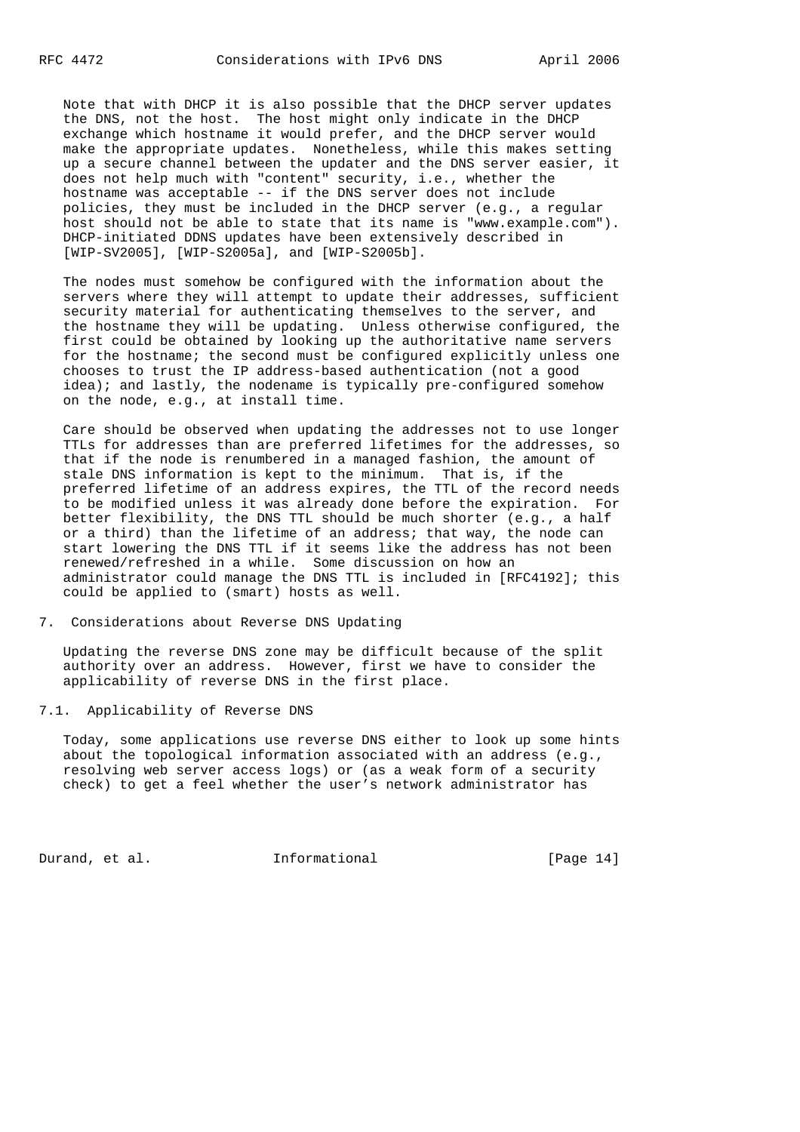Note that with DHCP it is also possible that the DHCP server updates the DNS, not the host. The host might only indicate in the DHCP exchange which hostname it would prefer, and the DHCP server would make the appropriate updates. Nonetheless, while this makes setting up a secure channel between the updater and the DNS server easier, it does not help much with "content" security, i.e., whether the hostname was acceptable -- if the DNS server does not include policies, they must be included in the DHCP server (e.g., a regular host should not be able to state that its name is "www.example.com"). DHCP-initiated DDNS updates have been extensively described in [WIP-SV2005], [WIP-S2005a], and [WIP-S2005b].

 The nodes must somehow be configured with the information about the servers where they will attempt to update their addresses, sufficient security material for authenticating themselves to the server, and the hostname they will be updating. Unless otherwise configured, the first could be obtained by looking up the authoritative name servers for the hostname; the second must be configured explicitly unless one chooses to trust the IP address-based authentication (not a good idea); and lastly, the nodename is typically pre-configured somehow on the node, e.g., at install time.

 Care should be observed when updating the addresses not to use longer TTLs for addresses than are preferred lifetimes for the addresses, so that if the node is renumbered in a managed fashion, the amount of stale DNS information is kept to the minimum. That is, if the preferred lifetime of an address expires, the TTL of the record needs to be modified unless it was already done before the expiration. For better flexibility, the DNS TTL should be much shorter (e.g., a half or a third) than the lifetime of an address; that way, the node can start lowering the DNS TTL if it seems like the address has not been renewed/refreshed in a while. Some discussion on how an administrator could manage the DNS TTL is included in [RFC4192]; this could be applied to (smart) hosts as well.

7. Considerations about Reverse DNS Updating

 Updating the reverse DNS zone may be difficult because of the split authority over an address. However, first we have to consider the applicability of reverse DNS in the first place.

7.1. Applicability of Reverse DNS

 Today, some applications use reverse DNS either to look up some hints about the topological information associated with an address (e.g., resolving web server access logs) or (as a weak form of a security check) to get a feel whether the user's network administrator has

Durand, et al. 1nformational [Page 14]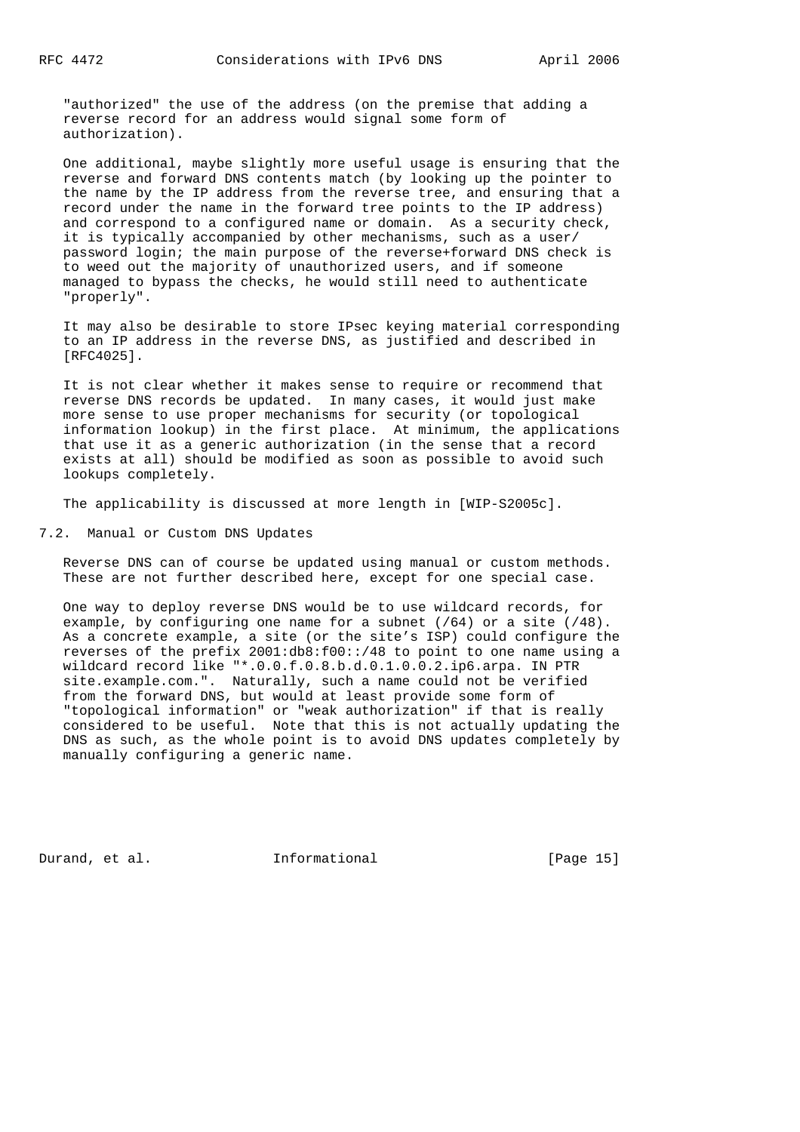"authorized" the use of the address (on the premise that adding a reverse record for an address would signal some form of authorization).

 One additional, maybe slightly more useful usage is ensuring that the reverse and forward DNS contents match (by looking up the pointer to the name by the IP address from the reverse tree, and ensuring that a record under the name in the forward tree points to the IP address) and correspond to a configured name or domain. As a security check, it is typically accompanied by other mechanisms, such as a user/ password login; the main purpose of the reverse+forward DNS check is to weed out the majority of unauthorized users, and if someone managed to bypass the checks, he would still need to authenticate "properly".

 It may also be desirable to store IPsec keying material corresponding to an IP address in the reverse DNS, as justified and described in [RFC4025].

 It is not clear whether it makes sense to require or recommend that reverse DNS records be updated. In many cases, it would just make more sense to use proper mechanisms for security (or topological information lookup) in the first place. At minimum, the applications that use it as a generic authorization (in the sense that a record exists at all) should be modified as soon as possible to avoid such lookups completely.

The applicability is discussed at more length in [WIP-S2005c].

7.2. Manual or Custom DNS Updates

 Reverse DNS can of course be updated using manual or custom methods. These are not further described here, except for one special case.

 One way to deploy reverse DNS would be to use wildcard records, for example, by configuring one name for a subnet  $(764)$  or a site  $(748)$ . As a concrete example, a site (or the site's ISP) could configure the reverses of the prefix 2001:db8:f00::/48 to point to one name using a wildcard record like "\*.0.0.f.0.8.b.d.0.1.0.0.2.ip6.arpa. IN PTR site.example.com.". Naturally, such a name could not be verified from the forward DNS, but would at least provide some form of "topological information" or "weak authorization" if that is really considered to be useful. Note that this is not actually updating the DNS as such, as the whole point is to avoid DNS updates completely by manually configuring a generic name.

Durand, et al. 1nformational 1999 [Page 15]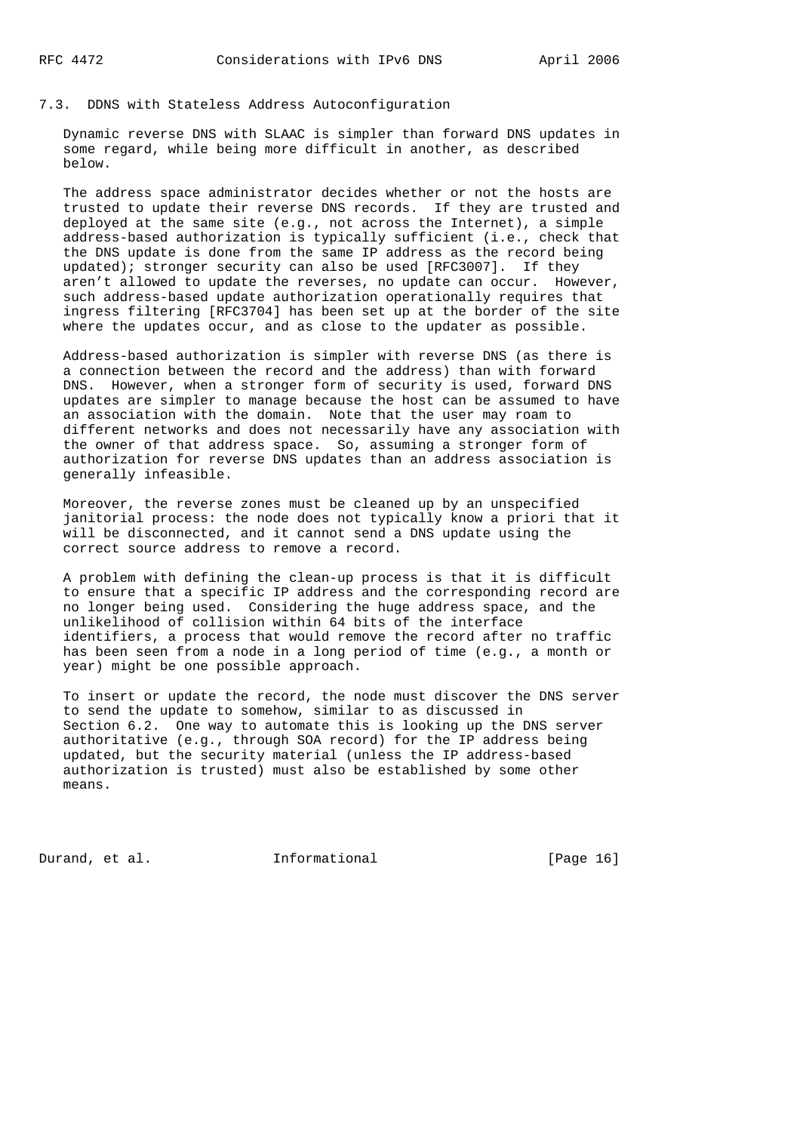# 7.3. DDNS with Stateless Address Autoconfiguration

 Dynamic reverse DNS with SLAAC is simpler than forward DNS updates in some regard, while being more difficult in another, as described below.

 The address space administrator decides whether or not the hosts are trusted to update their reverse DNS records. If they are trusted and deployed at the same site (e.g., not across the Internet), a simple address-based authorization is typically sufficient (i.e., check that the DNS update is done from the same IP address as the record being updated); stronger security can also be used [RFC3007]. If they aren't allowed to update the reverses, no update can occur. However, such address-based update authorization operationally requires that ingress filtering [RFC3704] has been set up at the border of the site where the updates occur, and as close to the updater as possible.

 Address-based authorization is simpler with reverse DNS (as there is a connection between the record and the address) than with forward DNS. However, when a stronger form of security is used, forward DNS updates are simpler to manage because the host can be assumed to have an association with the domain. Note that the user may roam to different networks and does not necessarily have any association with the owner of that address space. So, assuming a stronger form of authorization for reverse DNS updates than an address association is generally infeasible.

 Moreover, the reverse zones must be cleaned up by an unspecified janitorial process: the node does not typically know a priori that it will be disconnected, and it cannot send a DNS update using the correct source address to remove a record.

 A problem with defining the clean-up process is that it is difficult to ensure that a specific IP address and the corresponding record are no longer being used. Considering the huge address space, and the unlikelihood of collision within 64 bits of the interface identifiers, a process that would remove the record after no traffic has been seen from a node in a long period of time (e.g., a month or year) might be one possible approach.

 To insert or update the record, the node must discover the DNS server to send the update to somehow, similar to as discussed in Section 6.2. One way to automate this is looking up the DNS server authoritative (e.g., through SOA record) for the IP address being updated, but the security material (unless the IP address-based authorization is trusted) must also be established by some other means.

Durand, et al. **Informational** [Page 16]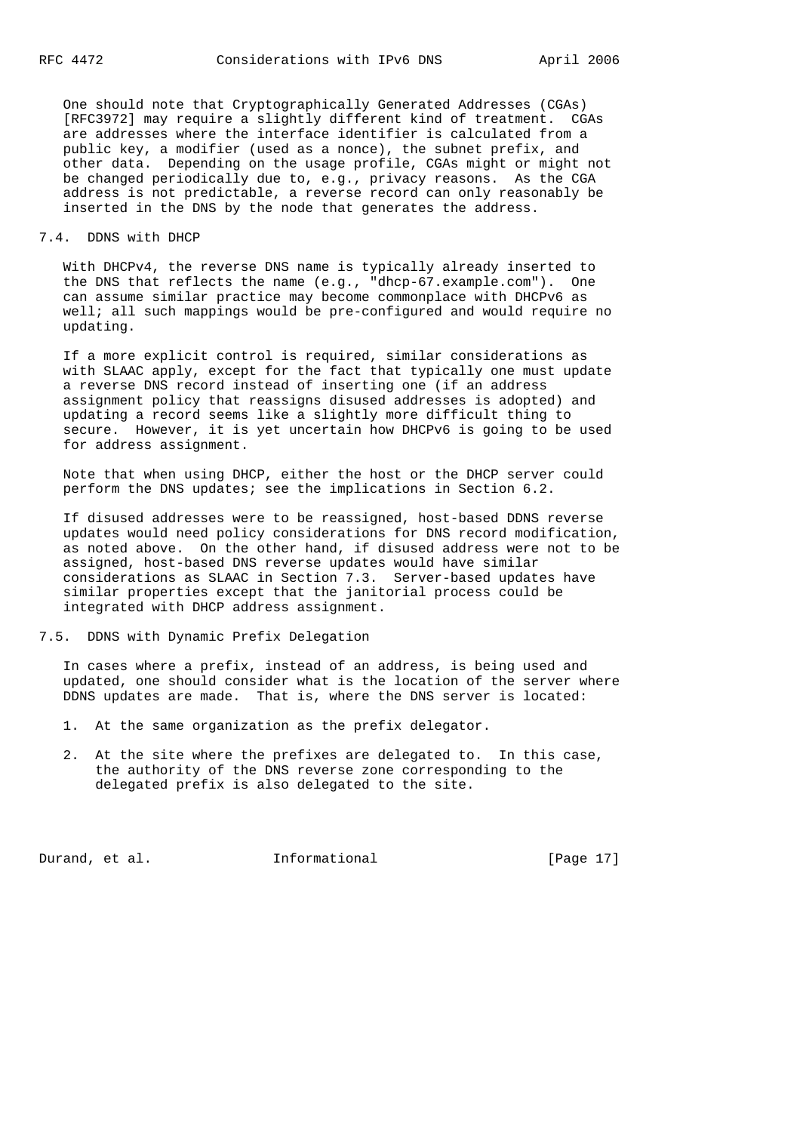One should note that Cryptographically Generated Addresses (CGAs) [RFC3972] may require a slightly different kind of treatment. CGAs are addresses where the interface identifier is calculated from a public key, a modifier (used as a nonce), the subnet prefix, and other data. Depending on the usage profile, CGAs might or might not be changed periodically due to, e.g., privacy reasons. As the CGA address is not predictable, a reverse record can only reasonably be inserted in the DNS by the node that generates the address.

#### 7.4. DDNS with DHCP

 With DHCPv4, the reverse DNS name is typically already inserted to the DNS that reflects the name (e.g., "dhcp-67.example.com"). One can assume similar practice may become commonplace with DHCPv6 as well; all such mappings would be pre-configured and would require no updating.

 If a more explicit control is required, similar considerations as with SLAAC apply, except for the fact that typically one must update a reverse DNS record instead of inserting one (if an address assignment policy that reassigns disused addresses is adopted) and updating a record seems like a slightly more difficult thing to secure. However, it is yet uncertain how DHCPv6 is going to be used for address assignment.

 Note that when using DHCP, either the host or the DHCP server could perform the DNS updates; see the implications in Section 6.2.

 If disused addresses were to be reassigned, host-based DDNS reverse updates would need policy considerations for DNS record modification, as noted above. On the other hand, if disused address were not to be assigned, host-based DNS reverse updates would have similar considerations as SLAAC in Section 7.3. Server-based updates have similar properties except that the janitorial process could be integrated with DHCP address assignment.

7.5. DDNS with Dynamic Prefix Delegation

 In cases where a prefix, instead of an address, is being used and updated, one should consider what is the location of the server where DDNS updates are made. That is, where the DNS server is located:

- 1. At the same organization as the prefix delegator.
- 2. At the site where the prefixes are delegated to. In this case, the authority of the DNS reverse zone corresponding to the delegated prefix is also delegated to the site.

Durand, et al. 1nformational [Page 17]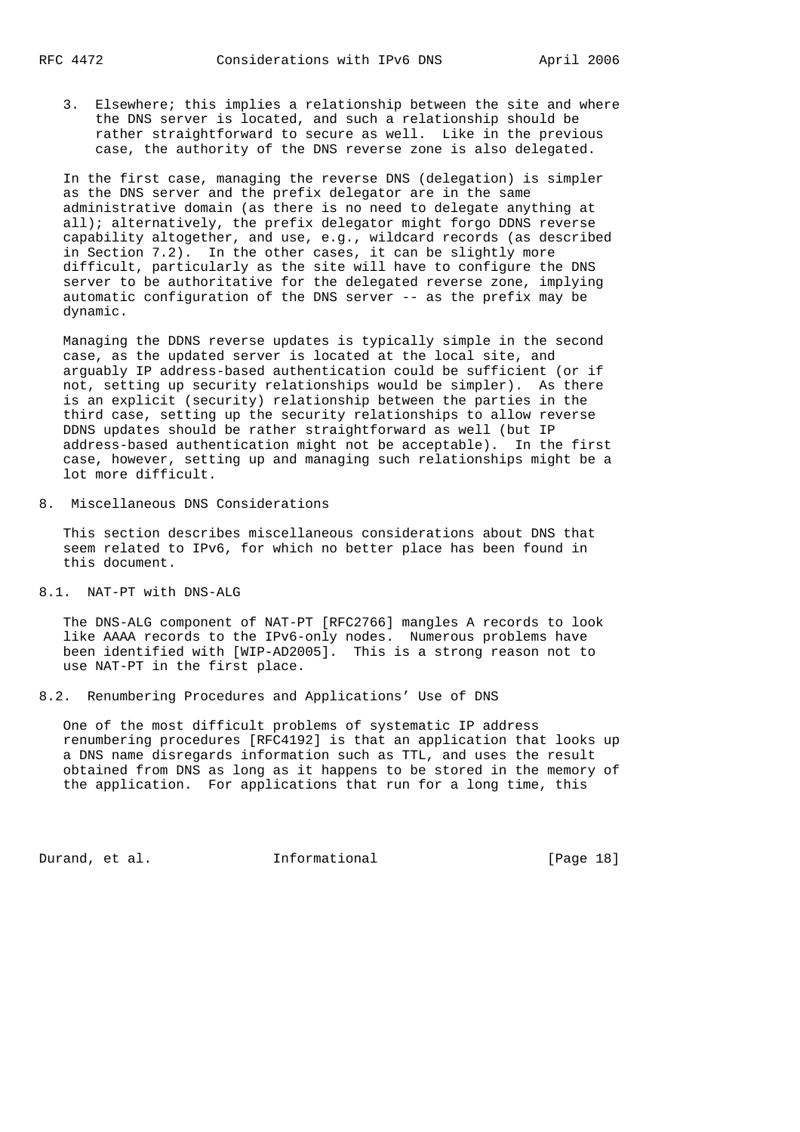3. Elsewhere; this implies a relationship between the site and where the DNS server is located, and such a relationship should be rather straightforward to secure as well. Like in the previous case, the authority of the DNS reverse zone is also delegated.

 In the first case, managing the reverse DNS (delegation) is simpler as the DNS server and the prefix delegator are in the same administrative domain (as there is no need to delegate anything at all); alternatively, the prefix delegator might forgo DDNS reverse capability altogether, and use, e.g., wildcard records (as described in Section 7.2). In the other cases, it can be slightly more difficult, particularly as the site will have to configure the DNS server to be authoritative for the delegated reverse zone, implying automatic configuration of the DNS server -- as the prefix may be dynamic.

 Managing the DDNS reverse updates is typically simple in the second case, as the updated server is located at the local site, and arguably IP address-based authentication could be sufficient (or if not, setting up security relationships would be simpler). As there is an explicit (security) relationship between the parties in the third case, setting up the security relationships to allow reverse DDNS updates should be rather straightforward as well (but IP address-based authentication might not be acceptable). In the first case, however, setting up and managing such relationships might be a lot more difficult.

8. Miscellaneous DNS Considerations

 This section describes miscellaneous considerations about DNS that seem related to IPv6, for which no better place has been found in this document.

8.1. NAT-PT with DNS-ALG

 The DNS-ALG component of NAT-PT [RFC2766] mangles A records to look like AAAA records to the IPv6-only nodes. Numerous problems have been identified with [WIP-AD2005]. This is a strong reason not to use NAT-PT in the first place.

8.2. Renumbering Procedures and Applications' Use of DNS

 One of the most difficult problems of systematic IP address renumbering procedures [RFC4192] is that an application that looks up a DNS name disregards information such as TTL, and uses the result obtained from DNS as long as it happens to be stored in the memory of the application. For applications that run for a long time, this

Durand, et al. 1nformational [Page 18]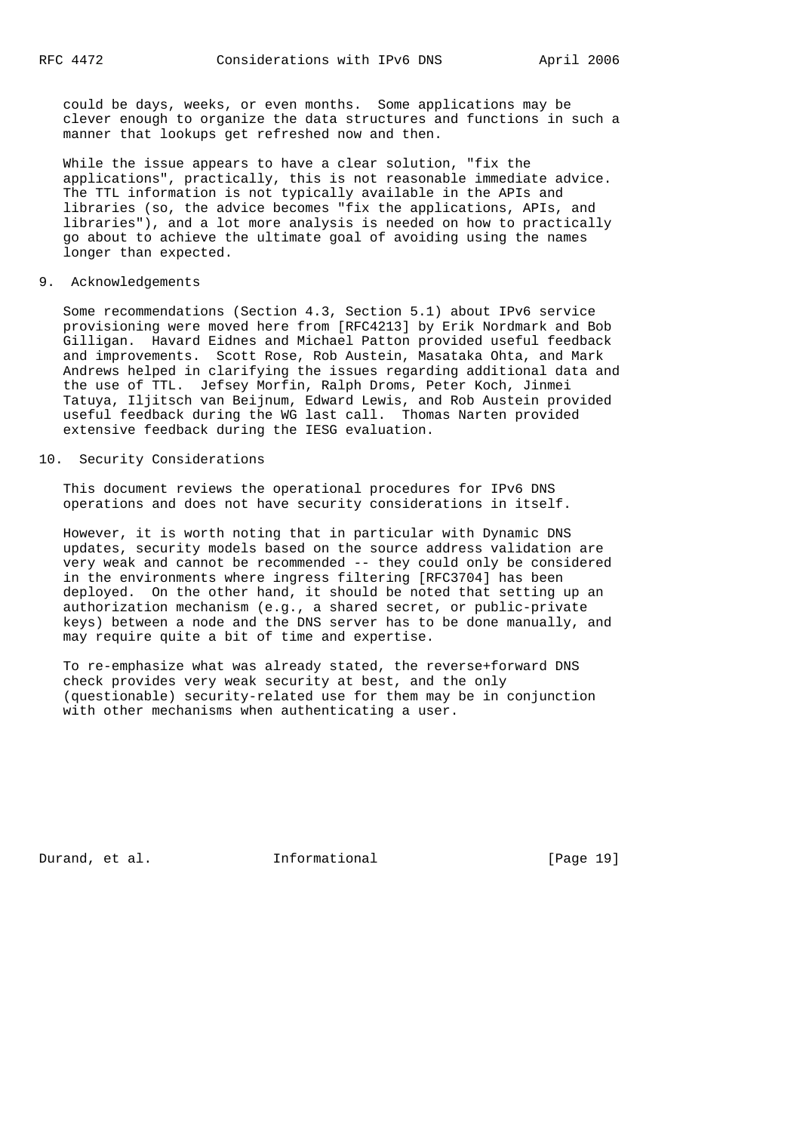could be days, weeks, or even months. Some applications may be clever enough to organize the data structures and functions in such a manner that lookups get refreshed now and then.

 While the issue appears to have a clear solution, "fix the applications", practically, this is not reasonable immediate advice. The TTL information is not typically available in the APIs and libraries (so, the advice becomes "fix the applications, APIs, and libraries"), and a lot more analysis is needed on how to practically go about to achieve the ultimate goal of avoiding using the names longer than expected.

#### 9. Acknowledgements

 Some recommendations (Section 4.3, Section 5.1) about IPv6 service provisioning were moved here from [RFC4213] by Erik Nordmark and Bob Gilligan. Havard Eidnes and Michael Patton provided useful feedback and improvements. Scott Rose, Rob Austein, Masataka Ohta, and Mark Andrews helped in clarifying the issues regarding additional data and the use of TTL. Jefsey Morfin, Ralph Droms, Peter Koch, Jinmei Tatuya, Iljitsch van Beijnum, Edward Lewis, and Rob Austein provided useful feedback during the WG last call. Thomas Narten provided extensive feedback during the IESG evaluation.

# 10. Security Considerations

 This document reviews the operational procedures for IPv6 DNS operations and does not have security considerations in itself.

 However, it is worth noting that in particular with Dynamic DNS updates, security models based on the source address validation are very weak and cannot be recommended -- they could only be considered in the environments where ingress filtering [RFC3704] has been deployed. On the other hand, it should be noted that setting up an authorization mechanism (e.g., a shared secret, or public-private keys) between a node and the DNS server has to be done manually, and may require quite a bit of time and expertise.

 To re-emphasize what was already stated, the reverse+forward DNS check provides very weak security at best, and the only (questionable) security-related use for them may be in conjunction with other mechanisms when authenticating a user.

Durand, et al. 1nformational [Page 19]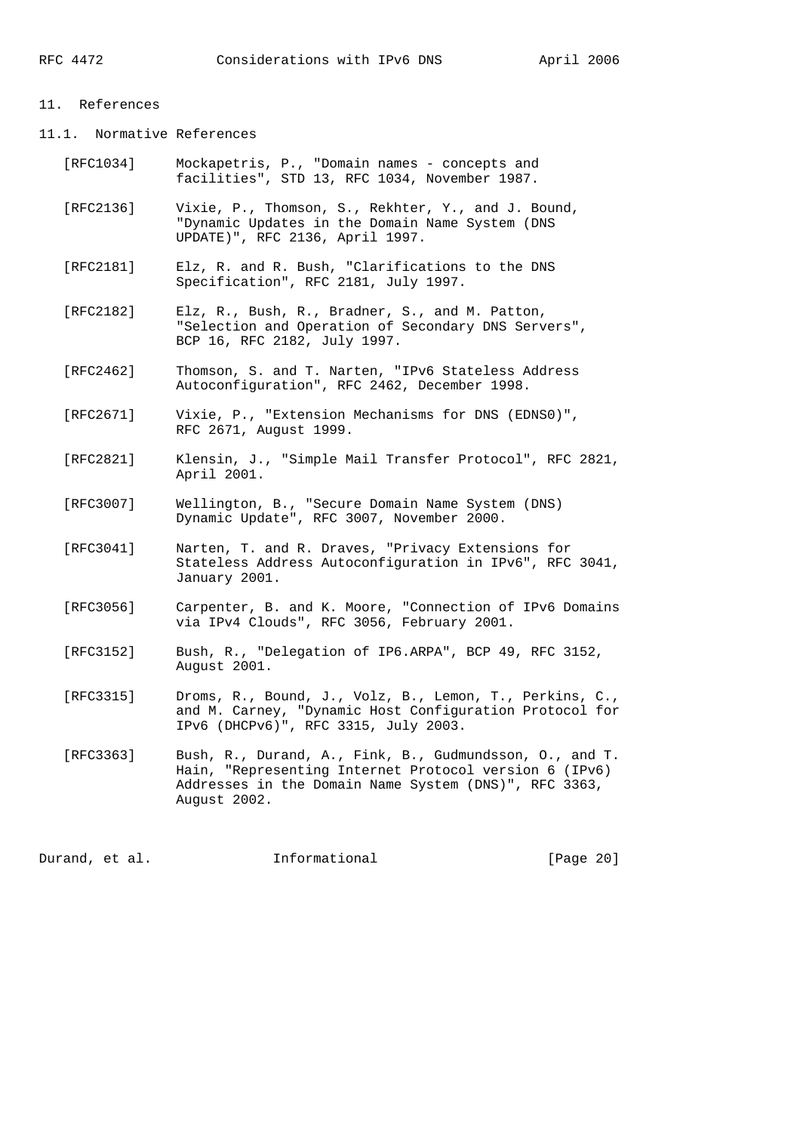#### 11. References

11.1. Normative References

- [RFC1034] Mockapetris, P., "Domain names concepts and facilities", STD 13, RFC 1034, November 1987.
- [RFC2136] Vixie, P., Thomson, S., Rekhter, Y., and J. Bound, "Dynamic Updates in the Domain Name System (DNS UPDATE)", RFC 2136, April 1997.
- [RFC2181] Elz, R. and R. Bush, "Clarifications to the DNS Specification", RFC 2181, July 1997.
- [RFC2182] Elz, R., Bush, R., Bradner, S., and M. Patton, "Selection and Operation of Secondary DNS Servers", BCP 16, RFC 2182, July 1997.
- [RFC2462] Thomson, S. and T. Narten, "IPv6 Stateless Address Autoconfiguration", RFC 2462, December 1998.
- [RFC2671] Vixie, P., "Extension Mechanisms for DNS (EDNS0)", RFC 2671, August 1999.
- [RFC2821] Klensin, J., "Simple Mail Transfer Protocol", RFC 2821, April 2001.
- [RFC3007] Wellington, B., "Secure Domain Name System (DNS) Dynamic Update", RFC 3007, November 2000.
	- [RFC3041] Narten, T. and R. Draves, "Privacy Extensions for Stateless Address Autoconfiguration in IPv6", RFC 3041, January 2001.
	- [RFC3056] Carpenter, B. and K. Moore, "Connection of IPv6 Domains via IPv4 Clouds", RFC 3056, February 2001.
	- [RFC3152] Bush, R., "Delegation of IP6.ARPA", BCP 49, RFC 3152, August 2001.
	- [RFC3315] Droms, R., Bound, J., Volz, B., Lemon, T., Perkins, C., and M. Carney, "Dynamic Host Configuration Protocol for IPv6 (DHCPv6)", RFC 3315, July 2003.
	- [RFC3363] Bush, R., Durand, A., Fink, B., Gudmundsson, O., and T. Hain, "Representing Internet Protocol version 6 (IPv6) Addresses in the Domain Name System (DNS)", RFC 3363, August 2002.

Durand, et al. **Informational** [Page 20]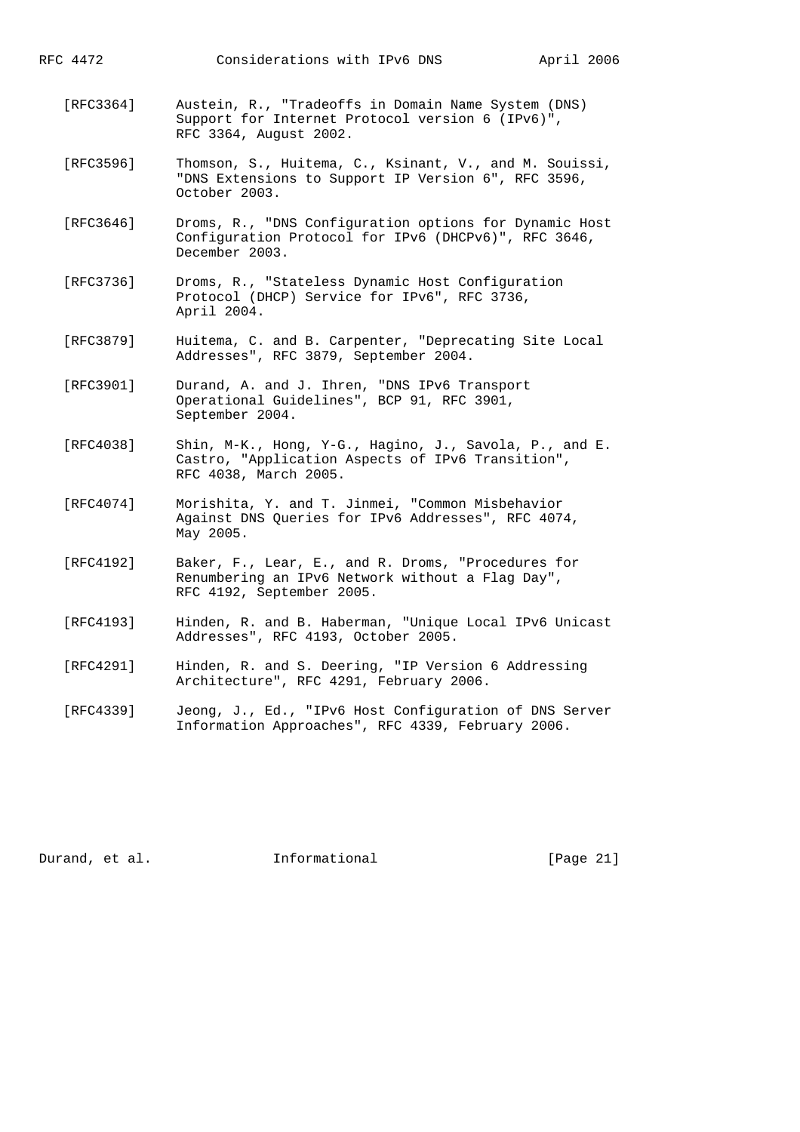RFC 4472 Considerations with IPv6 DNS April 2006

- [RFC3364] Austein, R., "Tradeoffs in Domain Name System (DNS) Support for Internet Protocol version 6 (IPv6)", RFC 3364, August 2002.
- [RFC3596] Thomson, S., Huitema, C., Ksinant, V., and M. Souissi, "DNS Extensions to Support IP Version 6", RFC 3596, October 2003.
- [RFC3646] Droms, R., "DNS Configuration options for Dynamic Host Configuration Protocol for IPv6 (DHCPv6)", RFC 3646, December 2003.
- [RFC3736] Droms, R., "Stateless Dynamic Host Configuration Protocol (DHCP) Service for IPv6", RFC 3736, April 2004.
- [RFC3879] Huitema, C. and B. Carpenter, "Deprecating Site Local Addresses", RFC 3879, September 2004.
- [RFC3901] Durand, A. and J. Ihren, "DNS IPv6 Transport Operational Guidelines", BCP 91, RFC 3901, September 2004.
	- [RFC4038] Shin, M-K., Hong, Y-G., Hagino, J., Savola, P., and E. Castro, "Application Aspects of IPv6 Transition", RFC 4038, March 2005.
	- [RFC4074] Morishita, Y. and T. Jinmei, "Common Misbehavior Against DNS Queries for IPv6 Addresses", RFC 4074, May 2005.
	- [RFC4192] Baker, F., Lear, E., and R. Droms, "Procedures for Renumbering an IPv6 Network without a Flag Day", RFC 4192, September 2005.
	- [RFC4193] Hinden, R. and B. Haberman, "Unique Local IPv6 Unicast Addresses", RFC 4193, October 2005.
	- [RFC4291] Hinden, R. and S. Deering, "IP Version 6 Addressing Architecture", RFC 4291, February 2006.
	- [RFC4339] Jeong, J., Ed., "IPv6 Host Configuration of DNS Server Information Approaches", RFC 4339, February 2006.

Durand, et al. **Informational** [Page 21]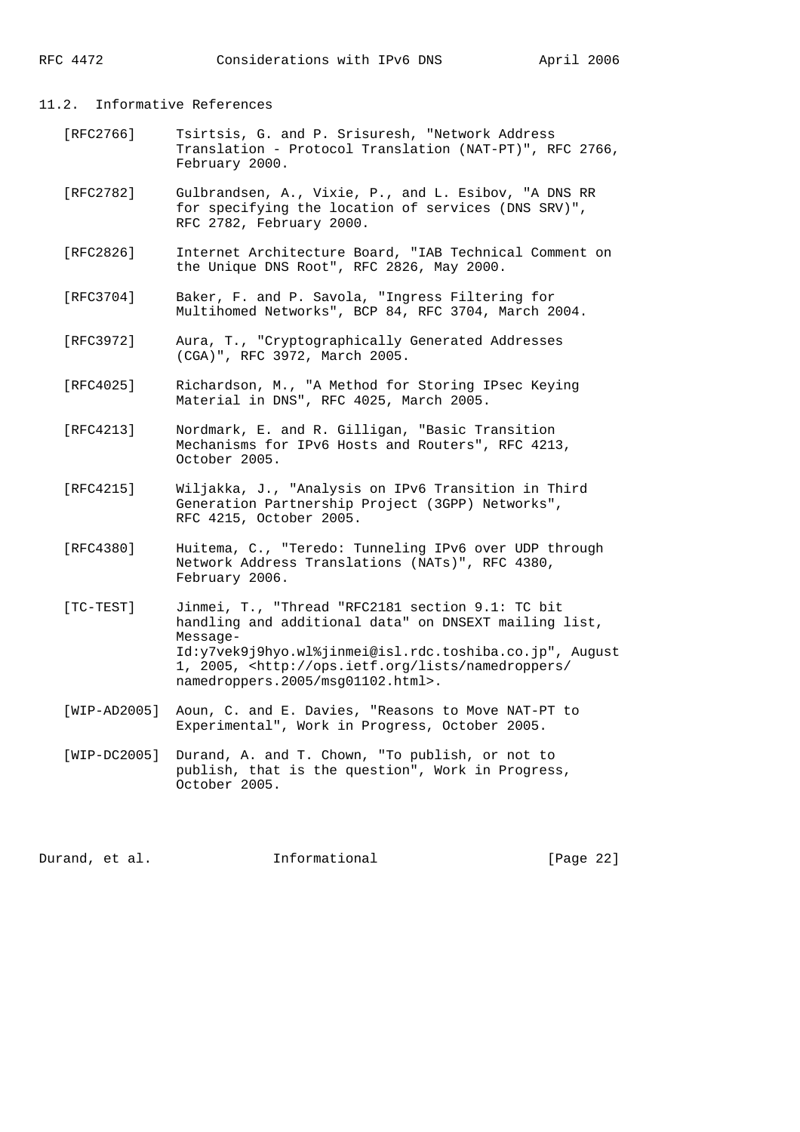#### 11.2. Informative References

- [RFC2766] Tsirtsis, G. and P. Srisuresh, "Network Address Translation - Protocol Translation (NAT-PT)", RFC 2766, February 2000.
- [RFC2782] Gulbrandsen, A., Vixie, P., and L. Esibov, "A DNS RR for specifying the location of services (DNS SRV)", RFC 2782, February 2000.
- [RFC2826] Internet Architecture Board, "IAB Technical Comment on the Unique DNS Root", RFC 2826, May 2000.
- [RFC3704] Baker, F. and P. Savola, "Ingress Filtering for Multihomed Networks", BCP 84, RFC 3704, March 2004.
- [RFC3972] Aura, T., "Cryptographically Generated Addresses (CGA)", RFC 3972, March 2005.
- [RFC4025] Richardson, M., "A Method for Storing IPsec Keying Material in DNS", RFC 4025, March 2005.
- [RFC4213] Nordmark, E. and R. Gilligan, "Basic Transition Mechanisms for IPv6 Hosts and Routers", RFC 4213, October 2005.
- [RFC4215] Wiljakka, J., "Analysis on IPv6 Transition in Third Generation Partnership Project (3GPP) Networks", RFC 4215, October 2005.
- [RFC4380] Huitema, C., "Teredo: Tunneling IPv6 over UDP through Network Address Translations (NATs)", RFC 4380, February 2006.
- [TC-TEST] Jinmei, T., "Thread "RFC2181 section 9.1: TC bit handling and additional data" on DNSEXT mailing list, Message- Id:y7vek9j9hyo.wl%jinmei@isl.rdc.toshiba.co.jp", August 1, 2005, <http://ops.ietf.org/lists/namedroppers/ namedroppers.2005/msg01102.html>.
- [WIP-AD2005] Aoun, C. and E. Davies, "Reasons to Move NAT-PT to Experimental", Work in Progress, October 2005.
- [WIP-DC2005] Durand, A. and T. Chown, "To publish, or not to publish, that is the question", Work in Progress, October 2005.

Durand, et al. 1nformational [Page 22]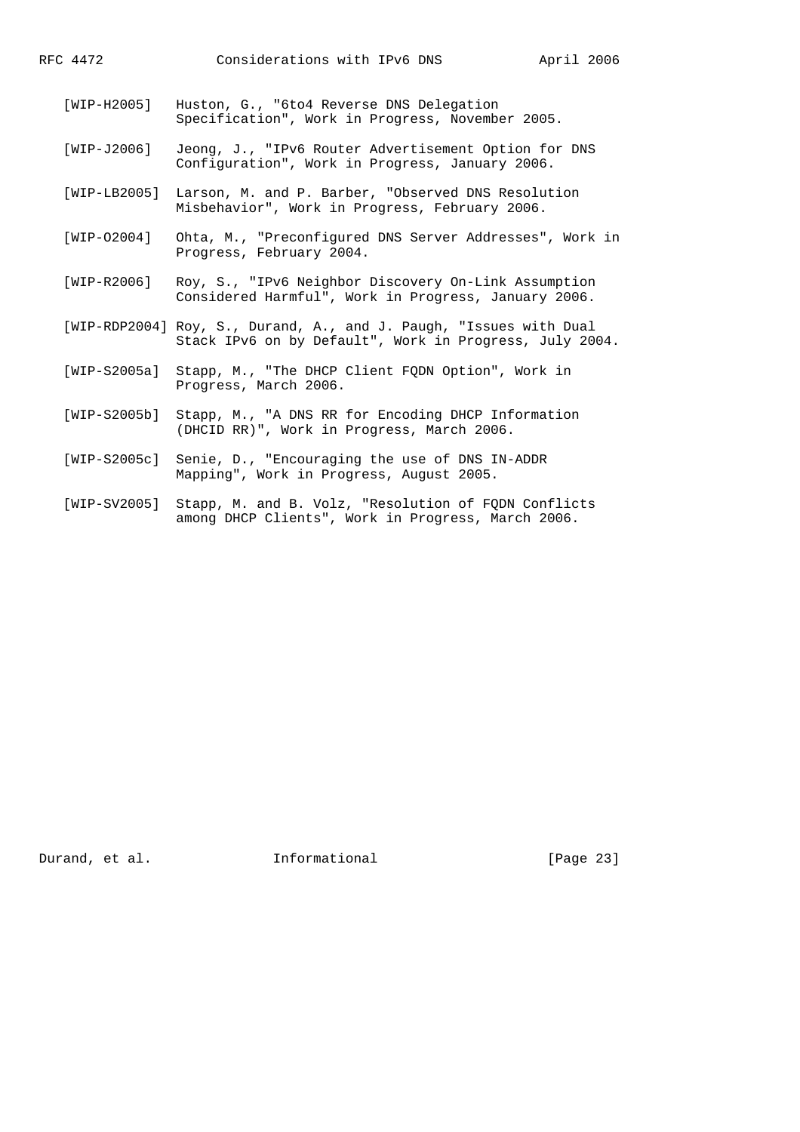- [WIP-H2005] Huston, G., "6to4 Reverse DNS Delegation Specification", Work in Progress, November 2005.
- [WIP-J2006] Jeong, J., "IPv6 Router Advertisement Option for DNS Configuration", Work in Progress, January 2006.
- [WIP-LB2005] Larson, M. and P. Barber, "Observed DNS Resolution Misbehavior", Work in Progress, February 2006.
- [WIP-O2004] Ohta, M., "Preconfigured DNS Server Addresses", Work in Progress, February 2004.
- [WIP-R2006] Roy, S., "IPv6 Neighbor Discovery On-Link Assumption Considered Harmful", Work in Progress, January 2006.
- [WIP-RDP2004] Roy, S., Durand, A., and J. Paugh, "Issues with Dual Stack IPv6 on by Default", Work in Progress, July 2004.
- [WIP-S2005a] Stapp, M., "The DHCP Client FQDN Option", Work in Progress, March 2006.
- [WIP-S2005b] Stapp, M., "A DNS RR for Encoding DHCP Information (DHCID RR)", Work in Progress, March 2006.
- [WIP-S2005c] Senie, D., "Encouraging the use of DNS IN-ADDR Mapping", Work in Progress, August 2005.
- [WIP-SV2005] Stapp, M. and B. Volz, "Resolution of FQDN Conflicts among DHCP Clients", Work in Progress, March 2006.

Durand, et al. 1nformational [Page 23]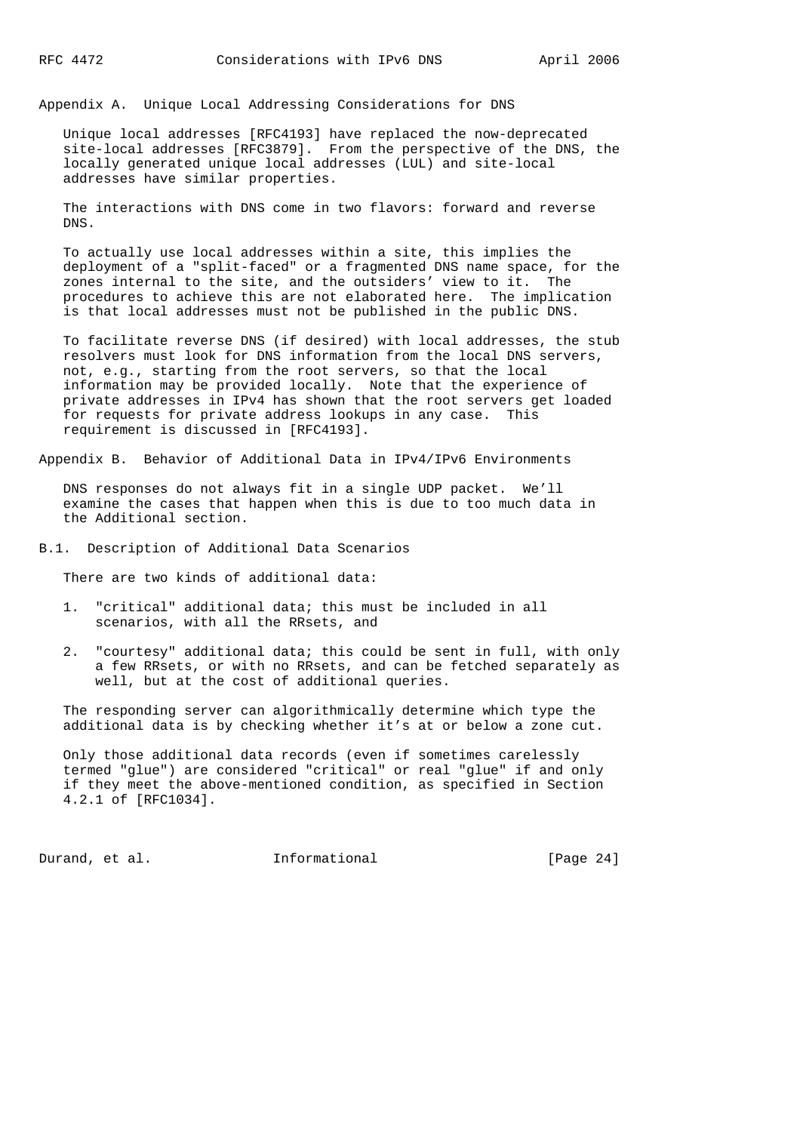Appendix A. Unique Local Addressing Considerations for DNS

 Unique local addresses [RFC4193] have replaced the now-deprecated site-local addresses [RFC3879]. From the perspective of the DNS, the locally generated unique local addresses (LUL) and site-local addresses have similar properties.

 The interactions with DNS come in two flavors: forward and reverse DNS.

 To actually use local addresses within a site, this implies the deployment of a "split-faced" or a fragmented DNS name space, for the zones internal to the site, and the outsiders' view to it. The procedures to achieve this are not elaborated here. The implication is that local addresses must not be published in the public DNS.

 To facilitate reverse DNS (if desired) with local addresses, the stub resolvers must look for DNS information from the local DNS servers, not, e.g., starting from the root servers, so that the local information may be provided locally. Note that the experience of private addresses in IPv4 has shown that the root servers get loaded for requests for private address lookups in any case. This requirement is discussed in [RFC4193].

Appendix B. Behavior of Additional Data in IPv4/IPv6 Environments

 DNS responses do not always fit in a single UDP packet. We'll examine the cases that happen when this is due to too much data in the Additional section.

B.1. Description of Additional Data Scenarios

There are two kinds of additional data:

- 1. "critical" additional data; this must be included in all scenarios, with all the RRsets, and
- 2. "courtesy" additional data; this could be sent in full, with only a few RRsets, or with no RRsets, and can be fetched separately as well, but at the cost of additional queries.

 The responding server can algorithmically determine which type the additional data is by checking whether it's at or below a zone cut.

 Only those additional data records (even if sometimes carelessly termed "glue") are considered "critical" or real "glue" if and only if they meet the above-mentioned condition, as specified in Section 4.2.1 of [RFC1034].

Durand, et al. 1nformational [Page 24]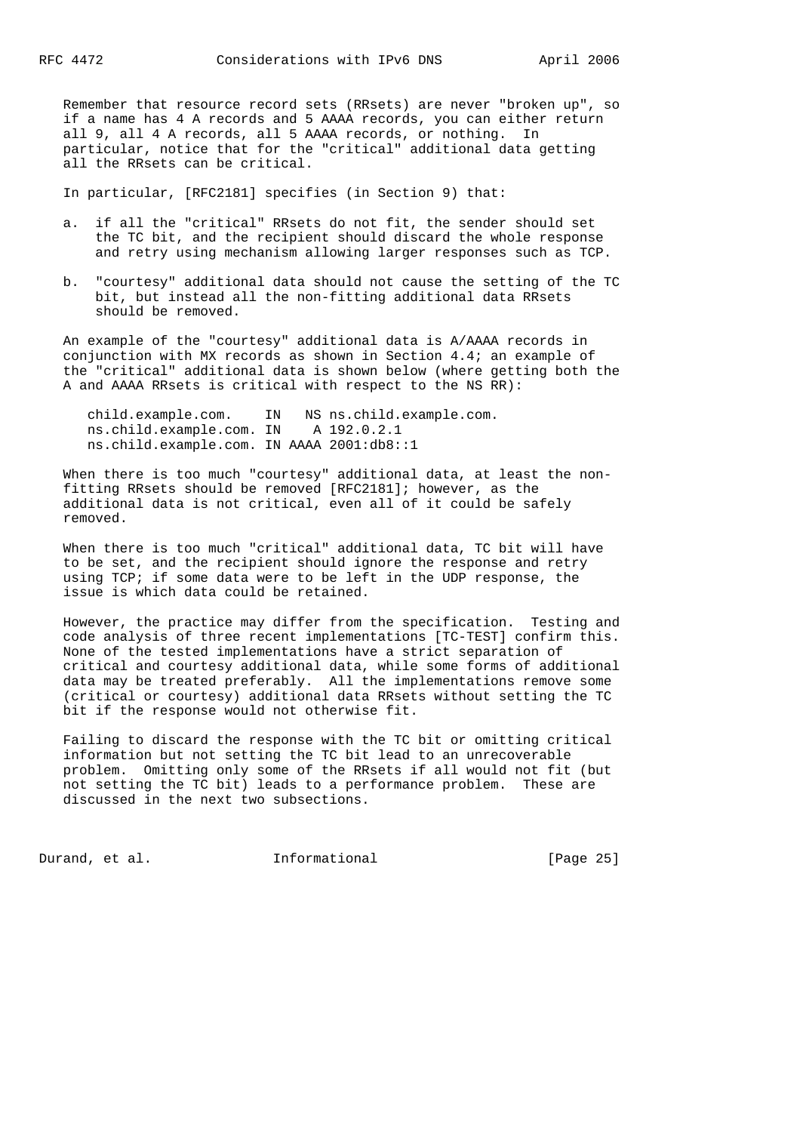Remember that resource record sets (RRsets) are never "broken up", so if a name has 4 A records and 5 AAAA records, you can either return all 9, all 4 A records, all 5 AAAA records, or nothing. In particular, notice that for the "critical" additional data getting all the RRsets can be critical.

In particular, [RFC2181] specifies (in Section 9) that:

- a. if all the "critical" RRsets do not fit, the sender should set the TC bit, and the recipient should discard the whole response and retry using mechanism allowing larger responses such as TCP.
- b. "courtesy" additional data should not cause the setting of the TC bit, but instead all the non-fitting additional data RRsets should be removed.

 An example of the "courtesy" additional data is A/AAAA records in conjunction with MX records as shown in Section 4.4; an example of the "critical" additional data is shown below (where getting both the A and AAAA RRsets is critical with respect to the NS RR):

 child.example.com. IN NS ns.child.example.com. ns.child.example.com. IN A 192.0.2.1 ns.child.example.com. IN AAAA 2001:db8::1

When there is too much "courtesy" additional data, at least the non fitting RRsets should be removed [RFC2181]; however, as the additional data is not critical, even all of it could be safely removed.

 When there is too much "critical" additional data, TC bit will have to be set, and the recipient should ignore the response and retry using TCP; if some data were to be left in the UDP response, the issue is which data could be retained.

 However, the practice may differ from the specification. Testing and code analysis of three recent implementations [TC-TEST] confirm this. None of the tested implementations have a strict separation of critical and courtesy additional data, while some forms of additional data may be treated preferably. All the implementations remove some (critical or courtesy) additional data RRsets without setting the TC bit if the response would not otherwise fit.

 Failing to discard the response with the TC bit or omitting critical information but not setting the TC bit lead to an unrecoverable problem. Omitting only some of the RRsets if all would not fit (but not setting the TC bit) leads to a performance problem. These are discussed in the next two subsections.

Durand, et al. 1nformational [Page 25]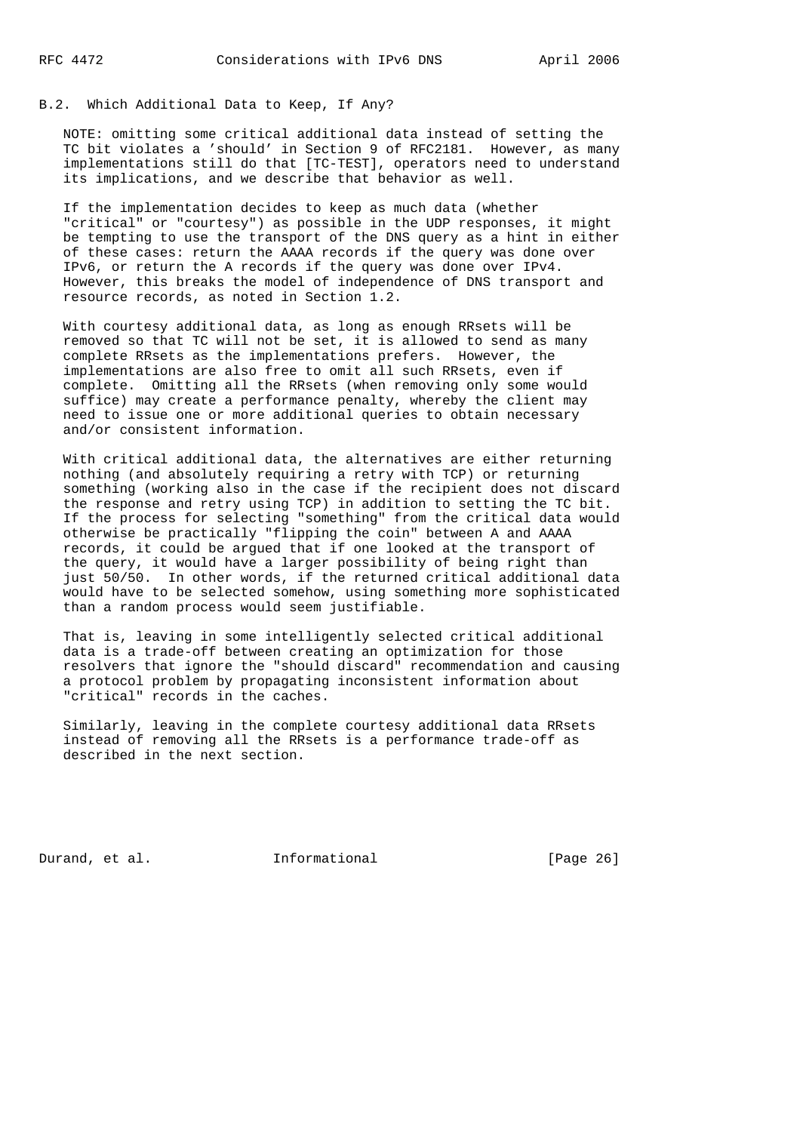# B.2. Which Additional Data to Keep, If Any?

 NOTE: omitting some critical additional data instead of setting the TC bit violates a 'should' in Section 9 of RFC2181. However, as many implementations still do that [TC-TEST], operators need to understand its implications, and we describe that behavior as well.

 If the implementation decides to keep as much data (whether "critical" or "courtesy") as possible in the UDP responses, it might be tempting to use the transport of the DNS query as a hint in either of these cases: return the AAAA records if the query was done over IPv6, or return the A records if the query was done over IPv4. However, this breaks the model of independence of DNS transport and resource records, as noted in Section 1.2.

 With courtesy additional data, as long as enough RRsets will be removed so that TC will not be set, it is allowed to send as many complete RRsets as the implementations prefers. However, the implementations are also free to omit all such RRsets, even if complete. Omitting all the RRsets (when removing only some would suffice) may create a performance penalty, whereby the client may need to issue one or more additional queries to obtain necessary and/or consistent information.

 With critical additional data, the alternatives are either returning nothing (and absolutely requiring a retry with TCP) or returning something (working also in the case if the recipient does not discard the response and retry using TCP) in addition to setting the TC bit. If the process for selecting "something" from the critical data would otherwise be practically "flipping the coin" between A and AAAA records, it could be argued that if one looked at the transport of the query, it would have a larger possibility of being right than just 50/50. In other words, if the returned critical additional data would have to be selected somehow, using something more sophisticated than a random process would seem justifiable.

 That is, leaving in some intelligently selected critical additional data is a trade-off between creating an optimization for those resolvers that ignore the "should discard" recommendation and causing a protocol problem by propagating inconsistent information about "critical" records in the caches.

 Similarly, leaving in the complete courtesy additional data RRsets instead of removing all the RRsets is a performance trade-off as described in the next section.

Durand, et al. 1nformational [Page 26]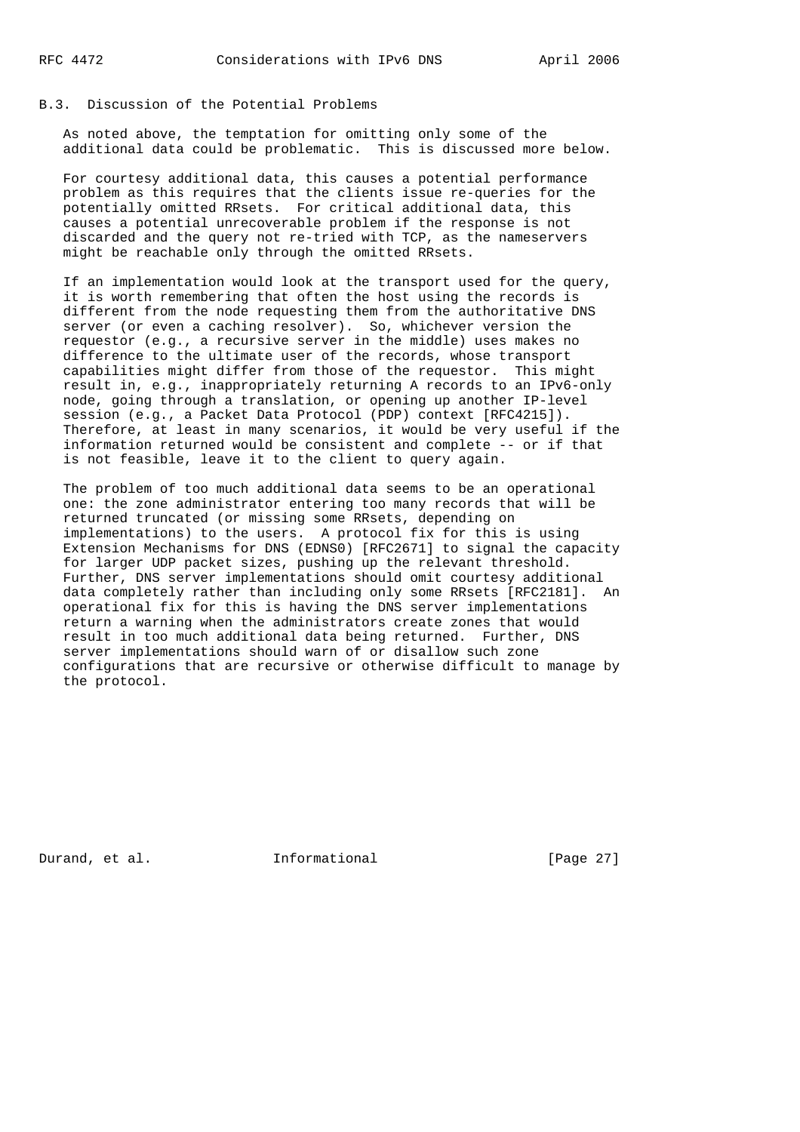## B.3. Discussion of the Potential Problems

 As noted above, the temptation for omitting only some of the additional data could be problematic. This is discussed more below.

 For courtesy additional data, this causes a potential performance problem as this requires that the clients issue re-queries for the potentially omitted RRsets. For critical additional data, this causes a potential unrecoverable problem if the response is not discarded and the query not re-tried with TCP, as the nameservers might be reachable only through the omitted RRsets.

 If an implementation would look at the transport used for the query, it is worth remembering that often the host using the records is different from the node requesting them from the authoritative DNS server (or even a caching resolver). So, whichever version the requestor (e.g., a recursive server in the middle) uses makes no difference to the ultimate user of the records, whose transport capabilities might differ from those of the requestor. This might result in, e.g., inappropriately returning A records to an IPv6-only node, going through a translation, or opening up another IP-level session (e.g., a Packet Data Protocol (PDP) context [RFC4215]). Therefore, at least in many scenarios, it would be very useful if the information returned would be consistent and complete -- or if that is not feasible, leave it to the client to query again.

 The problem of too much additional data seems to be an operational one: the zone administrator entering too many records that will be returned truncated (or missing some RRsets, depending on implementations) to the users. A protocol fix for this is using Extension Mechanisms for DNS (EDNS0) [RFC2671] to signal the capacity for larger UDP packet sizes, pushing up the relevant threshold. Further, DNS server implementations should omit courtesy additional data completely rather than including only some RRsets [RFC2181]. An operational fix for this is having the DNS server implementations return a warning when the administrators create zones that would result in too much additional data being returned. Further, DNS server implementations should warn of or disallow such zone configurations that are recursive or otherwise difficult to manage by the protocol.

Durand, et al. 1nformational [Page 27]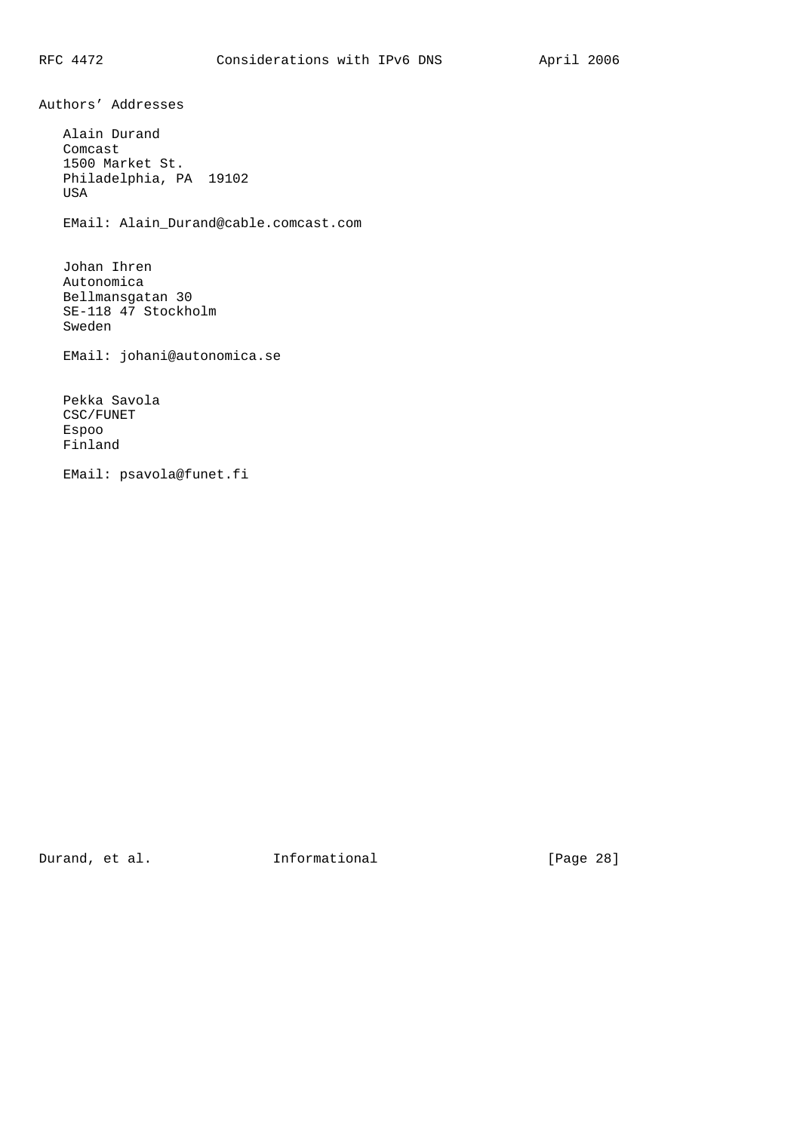Authors' Addresses

 Alain Durand Comcast 1500 Market St. Philadelphia, PA 19102 USA EMail: Alain\_Durand@cable.comcast.com Johan Ihren Autonomica Bellmansgatan 30 SE-118 47 Stockholm Sweden EMail: johani@autonomica.se Pekka Savola CSC/FUNET

 Espoo Finland

EMail: psavola@funet.fi

Durand, et al. 1nformational [Page 28]